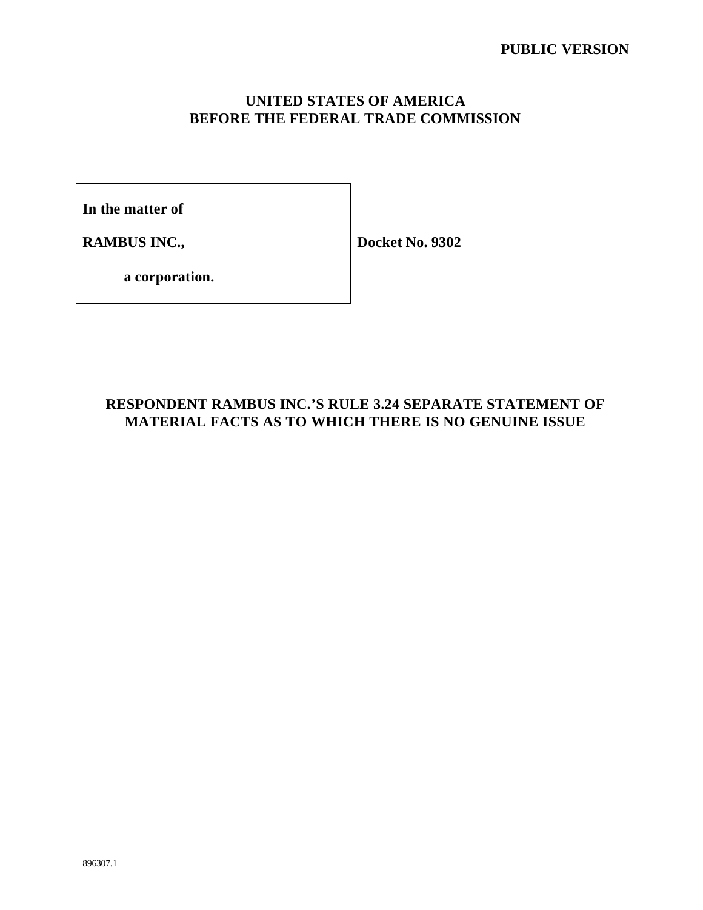# **UNITED STATES OF AMERICA BEFORE THE FEDERAL TRADE COMMISSION**

**In the matter of**

**RAMBUS INC.,** 

**Docket No. 9302**

**a corporation.**

# **RESPONDENT RAMBUS INC.'S RULE 3.24 SEPARATE STATEMENT OF MATERIAL FACTS AS TO WHICH THERE IS NO GENUINE ISSUE**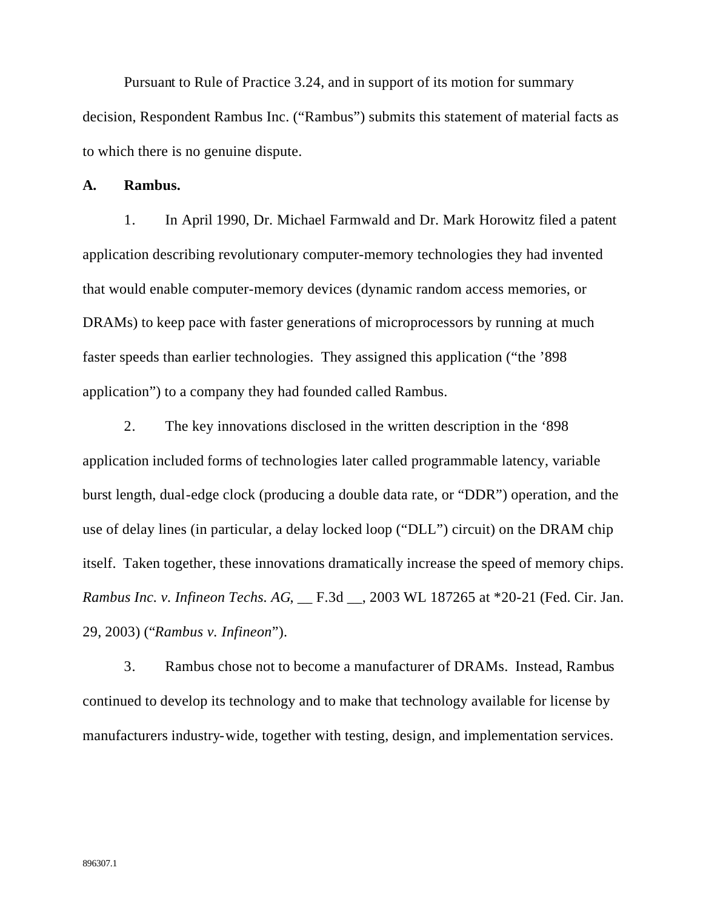Pursuant to Rule of Practice 3.24, and in support of its motion for summary decision, Respondent Rambus Inc. ("Rambus") submits this statement of material facts as to which there is no genuine dispute.

**A. Rambus.**

1. In April 1990, Dr. Michael Farmwald and Dr. Mark Horowitz filed a patent application describing revolutionary computer-memory technologies they had invented that would enable computer-memory devices (dynamic random access memories, or DRAMs) to keep pace with faster generations of microprocessors by running at much faster speeds than earlier technologies. They assigned this application ("the '898 application") to a company they had founded called Rambus.

2. The key innovations disclosed in the written description in the '898 application included forms of technologies later called programmable latency, variable burst length, dual-edge clock (producing a double data rate, or "DDR") operation, and the use of delay lines (in particular, a delay locked loop ("DLL") circuit) on the DRAM chip itself. Taken together, these innovations dramatically increase the speed of memory chips. *Rambus Inc. v. Infineon Techs. AG*, \_\_ F.3d \_\_, 2003 WL 187265 at \*20-21 (Fed. Cir. Jan. 29, 2003) ("*Rambus v. Infineon*").

3. Rambus chose not to become a manufacturer of DRAMs. Instead, Rambus continued to develop its technology and to make that technology available for license by manufacturers industry-wide, together with testing, design, and implementation services.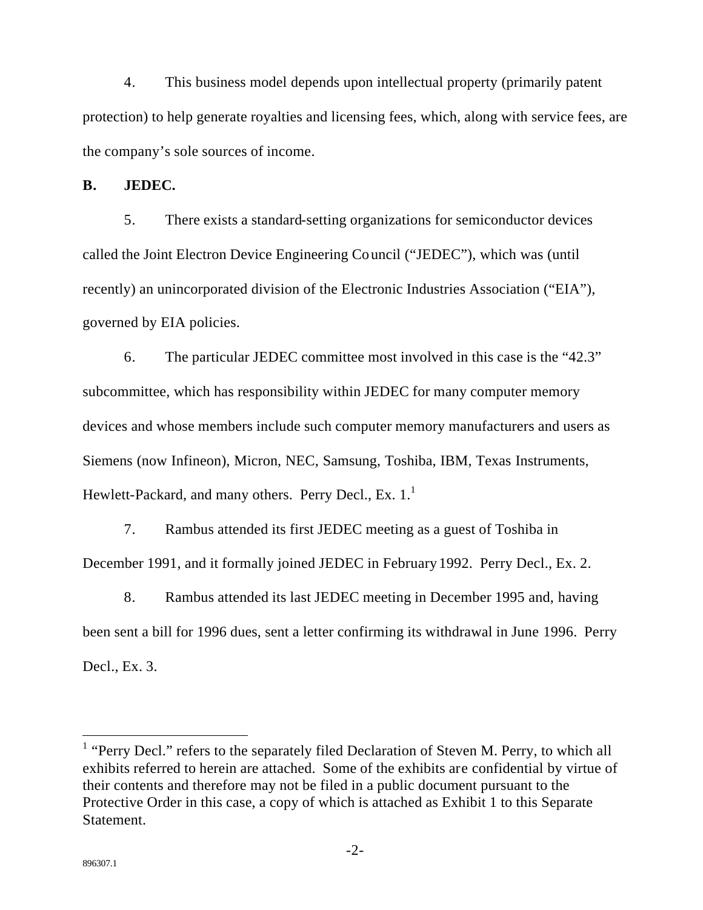4. This business model depends upon intellectual property (primarily patent protection) to help generate royalties and licensing fees, which, along with service fees, are the company's sole sources of income.

**B. JEDEC.**

5. There exists a standard-setting organizations for semiconductor devices called the Joint Electron Device Engineering Council ("JEDEC"), which was (until recently) an unincorporated division of the Electronic Industries Association ("EIA"), governed by EIA policies.

6. The particular JEDEC committee most involved in this case is the "42.3" subcommittee, which has responsibility within JEDEC for many computer memory devices and whose members include such computer memory manufacturers and users as Siemens (now Infineon), Micron, NEC, Samsung, Toshiba, IBM, Texas Instruments, Hewlett-Packard, and many others. Perry Decl., Ex.  $1<sup>1</sup>$ 

7. Rambus attended its first JEDEC meeting as a guest of Toshiba in December 1991, and it formally joined JEDEC in February 1992. Perry Decl., Ex. 2.

8. Rambus attended its last JEDEC meeting in December 1995 and, having been sent a bill for 1996 dues, sent a letter confirming its withdrawal in June 1996. Perry Decl., Ex. 3.

l

<sup>&</sup>lt;sup>1</sup> "Perry Decl." refers to the separately filed Declaration of Steven M. Perry, to which all exhibits referred to herein are attached. Some of the exhibits are confidential by virtue of their contents and therefore may not be filed in a public document pursuant to the Protective Order in this case, a copy of which is attached as Exhibit 1 to this Separate Statement.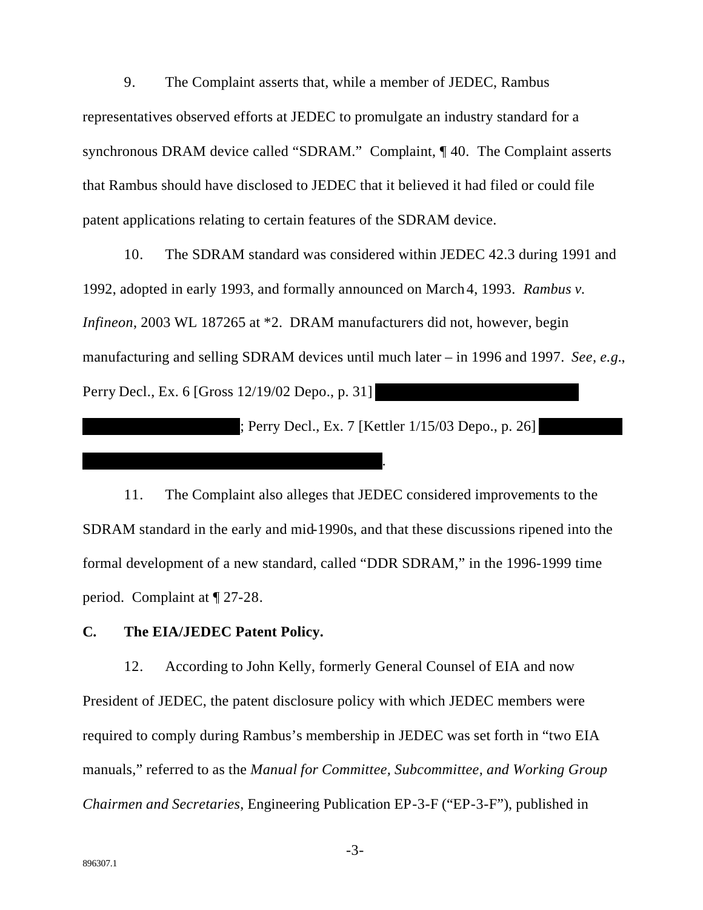9. The Complaint asserts that, while a member of JEDEC, Rambus representatives observed efforts at JEDEC to promulgate an industry standard for a synchronous DRAM device called "SDRAM." Complaint, ¶40. The Complaint asserts that Rambus should have disclosed to JEDEC that it believed it had filed or could file patent applications relating to certain features of the SDRAM device.

10. The SDRAM standard was considered within JEDEC 42.3 during 1991 and 1992, adopted in early 1993, and formally announced on March 4, 1993. Rambus v. Infineon, 2003 WL 187265 at \*2. DRAM manufacturers did not, however, begin manufacturing and selling SDRAM devices until much later – in 1996 and 1997. See, e.g., Perry Decl., Ex. 6 [Gross 12/19/02 Depo., p. 31]

: Perry Decl., Ex. 7 [Kettler 1/15/03 Depo., p. 26]

The Complaint also alleges that JEDEC considered improvements to the 11. SDRAM standard in the early and mid-1990s, and that these discussions ripened into the formal development of a new standard, called "DDR SDRAM," in the 1996-1999 time period. Complaint at  $\P$  27-28.

#### $C_{\bullet}$ The EIA/JEDEC Patent Policy.

12. According to John Kelly, formerly General Counsel of EIA and now President of JEDEC, the patent disclosure policy with which JEDEC members were required to comply during Rambus's membership in JEDEC was set forth in "two EIA" manuals," referred to as the Manual for Committee, Subcommittee, and Working Group *Chairmen and Secretaries, Engineering Publication EP-3-F ("EP-3-F"), published in*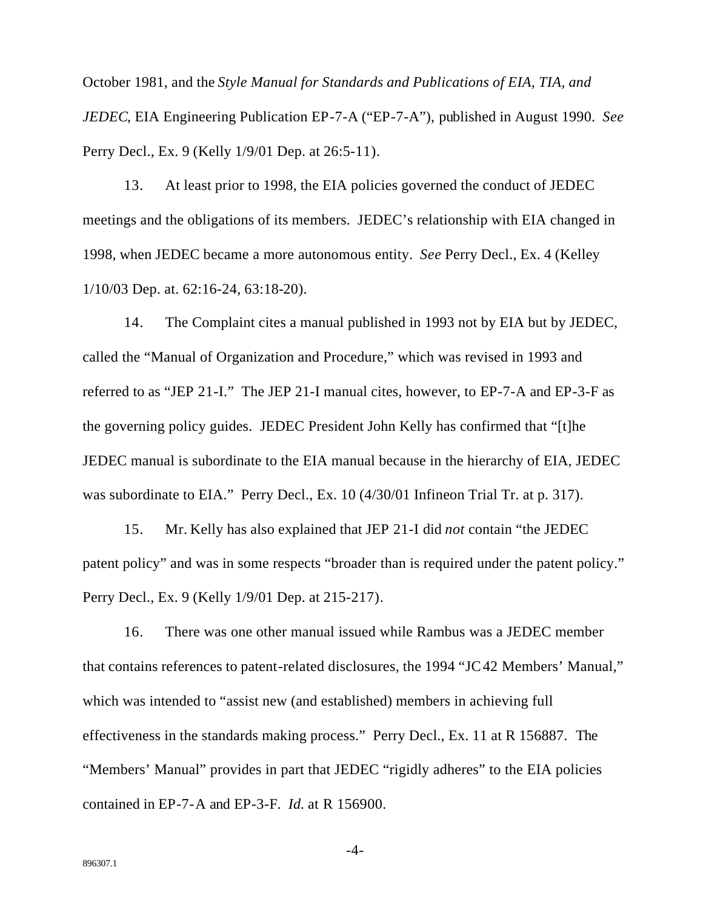October 1981, and the *Style Manual for Standards and Publications of EIA, TIA, and JEDEC*, EIA Engineering Publication EP-7-A ("EP-7-A"), published in August 1990. *See* Perry Decl., Ex. 9 (Kelly 1/9/01 Dep. at 26:5-11).

13. At least prior to 1998, the EIA policies governed the conduct of JEDEC meetings and the obligations of its members. JEDEC's relationship with EIA changed in 1998, when JEDEC became a more autonomous entity. *See* Perry Decl., Ex. 4 (Kelley 1/10/03 Dep. at. 62:16-24, 63:18-20).

14. The Complaint cites a manual published in 1993 not by EIA but by JEDEC, called the "Manual of Organization and Procedure," which was revised in 1993 and referred to as "JEP 21-I." The JEP 21-I manual cites, however, to EP-7-A and EP-3-F as the governing policy guides. JEDEC President John Kelly has confirmed that "[t]he JEDEC manual is subordinate to the EIA manual because in the hierarchy of EIA, JEDEC was subordinate to EIA." Perry Decl., Ex. 10 (4/30/01 Infineon Trial Tr. at p. 317).

15. Mr. Kelly has also explained that JEP 21-I did *not* contain "the JEDEC patent policy" and was in some respects "broader than is required under the patent policy." Perry Decl., Ex. 9 (Kelly 1/9/01 Dep. at 215-217).

16. There was one other manual issued while Rambus was a JEDEC member that contains references to patent-related disclosures, the 1994 "JC42 Members' Manual," which was intended to "assist new (and established) members in achieving full effectiveness in the standards making process." Perry Decl., Ex. 11 at R 156887. The "Members' Manual" provides in part that JEDEC "rigidly adheres" to the EIA policies contained in EP-7-A and EP-3-F. *Id.* at R 156900.

-4-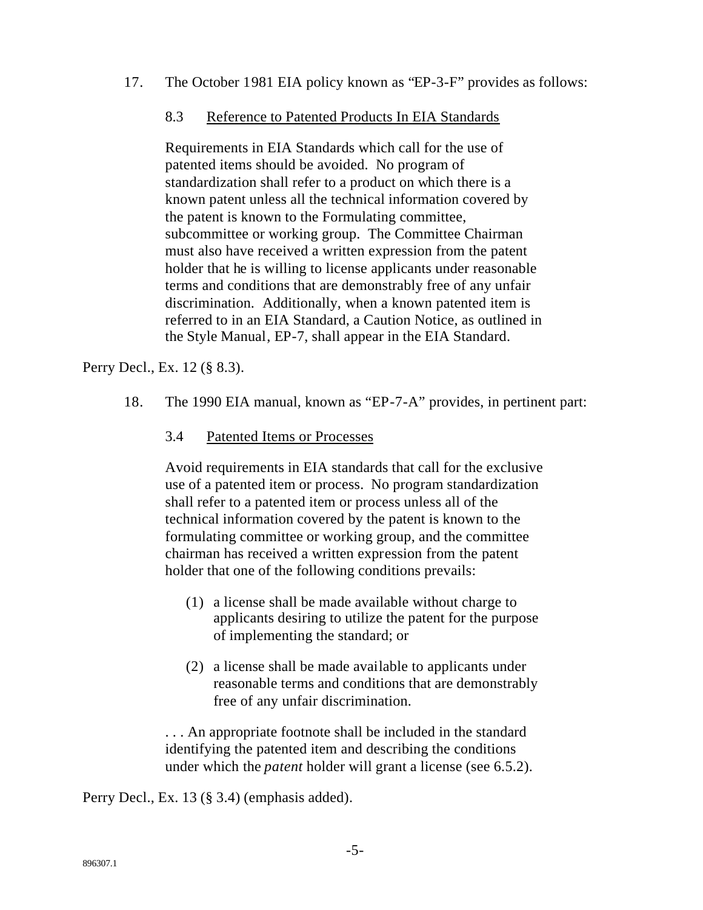17. The October 1981 EIA policy known as "EP-3-F" provides as follows:

#### 8.3 Reference to Patented Products In EIA Standards

Requirements in EIA Standards which call for the use of patented items should be avoided. No program of standardization shall refer to a product on which there is a known patent unless all the technical information covered by the patent is known to the Formulating committee, subcommittee or working group. The Committee Chairman must also have received a written expression from the patent holder that he is willing to license applicants under reasonable terms and conditions that are demonstrably free of any unfair discrimination. Additionally, when a known patented item is referred to in an EIA Standard, a Caution Notice, as outlined in the Style Manual, EP-7, shall appear in the EIA Standard.

Perry Decl., Ex. 12 (§ 8.3).

- 18. The 1990 EIA manual, known as "EP-7-A" provides, in pertinent part:
	- 3.4 Patented Items or Processes

Avoid requirements in EIA standards that call for the exclusive use of a patented item or process. No program standardization shall refer to a patented item or process unless all of the technical information covered by the patent is known to the formulating committee or working group, and the committee chairman has received a written expression from the patent holder that one of the following conditions prevails:

- (1) a license shall be made available without charge to applicants desiring to utilize the patent for the purpose of implementing the standard; or
- (2) a license shall be made available to applicants under reasonable terms and conditions that are demonstrably free of any unfair discrimination.

. . . An appropriate footnote shall be included in the standard identifying the patented item and describing the conditions under which the *patent* holder will grant a license (see 6.5.2).

Perry Decl., Ex. 13 (§ 3.4) (emphasis added).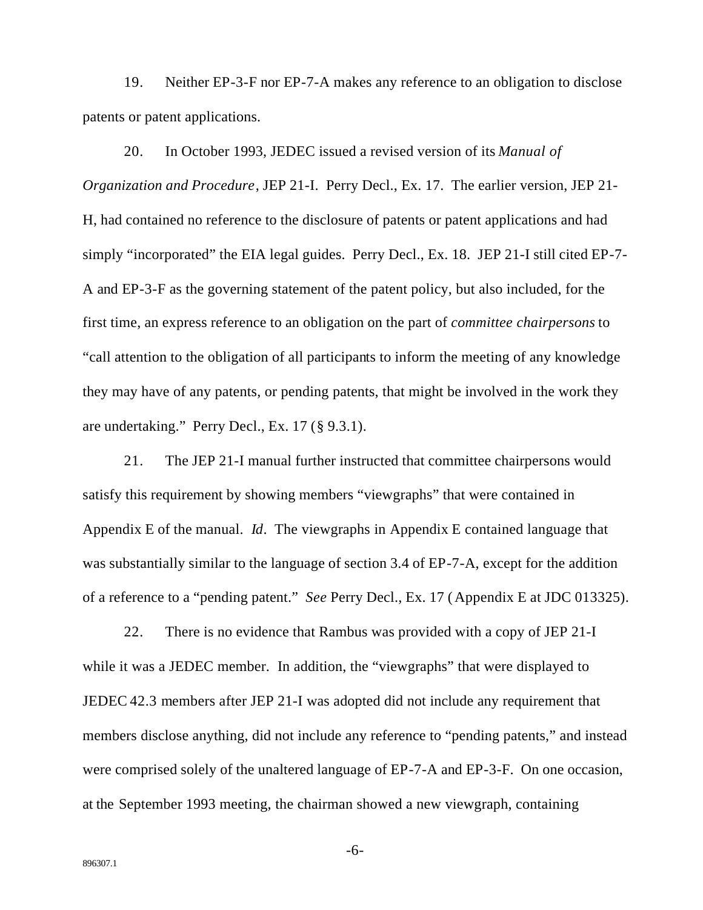19. Neither EP-3-F nor EP-7-A makes any reference to an obligation to disclose patents or patent applications.

20. In October 1993, JEDEC issued a revised version of its *Manual of Organization and Procedure*, JEP 21-I. Perry Decl., Ex. 17. The earlier version, JEP 21- H, had contained no reference to the disclosure of patents or patent applications and had simply "incorporated" the EIA legal guides. Perry Decl., Ex. 18. JEP 21-I still cited EP-7- A and EP-3-F as the governing statement of the patent policy, but also included, for the first time, an express reference to an obligation on the part of *committee chairpersons* to "call attention to the obligation of all participants to inform the meeting of any knowledge they may have of any patents, or pending patents, that might be involved in the work they are undertaking." Perry Decl., Ex. 17 (§ 9.3.1).

21. The JEP 21-I manual further instructed that committee chairpersons would satisfy this requirement by showing members "viewgraphs" that were contained in Appendix E of the manual. *Id*. The viewgraphs in Appendix E contained language that was substantially similar to the language of section 3.4 of EP-7-A, except for the addition of a reference to a "pending patent." *See* Perry Decl., Ex. 17 (Appendix E at JDC 013325).

22. There is no evidence that Rambus was provided with a copy of JEP 21-I while it was a JEDEC member. In addition, the "viewgraphs" that were displayed to JEDEC 42.3 members after JEP 21-I was adopted did not include any requirement that members disclose anything, did not include any reference to "pending patents," and instead were comprised solely of the unaltered language of EP-7-A and EP-3-F. On one occasion, at the September 1993 meeting, the chairman showed a new viewgraph, containing

-6-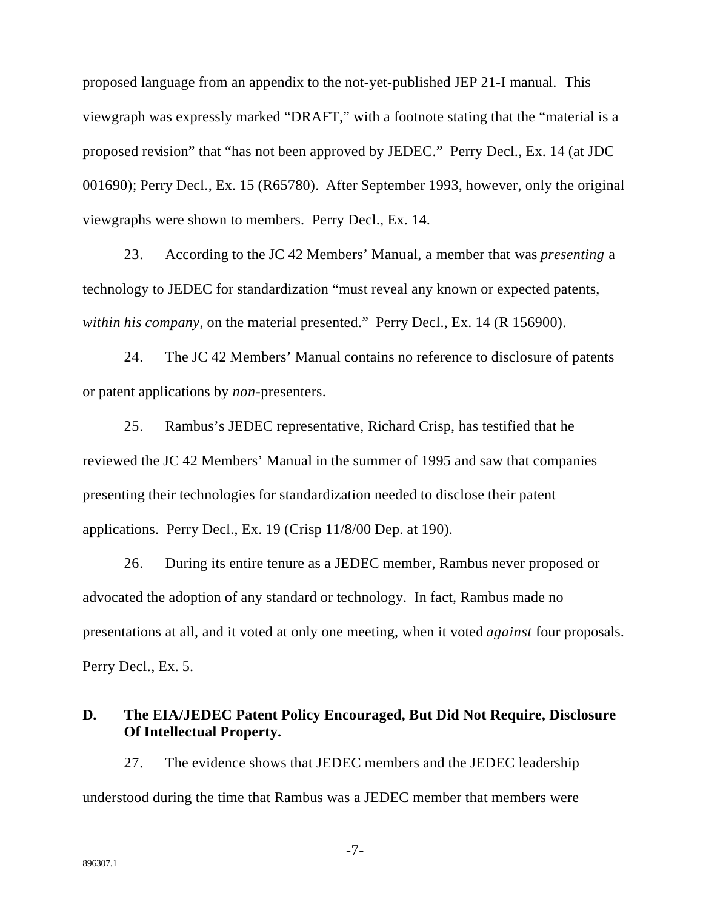proposed language from an appendix to the not-yet-published JEP 21-I manual. This viewgraph was expressly marked "DRAFT," with a footnote stating that the "material is a proposed revision" that "has not been approved by JEDEC." Perry Decl., Ex. 14 (at JDC 001690); Perry Decl., Ex. 15 (R65780). After September 1993, however, only the original viewgraphs were shown to members. Perry Decl., Ex. 14.

23. According to the JC 42 Members' Manual, a member that was *presenting* a technology to JEDEC for standardization "must reveal any known or expected patents, *within his company*, on the material presented." Perry Decl., Ex. 14 (R 156900).

24. The JC 42 Members' Manual contains no reference to disclosure of patents or patent applications by *non*-presenters.

25. Rambus's JEDEC representative, Richard Crisp, has testified that he reviewed the JC 42 Members' Manual in the summer of 1995 and saw that companies presenting their technologies for standardization needed to disclose their patent applications. Perry Decl., Ex. 19 (Crisp 11/8/00 Dep. at 190).

26. During its entire tenure as a JEDEC member, Rambus never proposed or advocated the adoption of any standard or technology. In fact, Rambus made no presentations at all, and it voted at only one meeting, when it voted *against* four proposals. Perry Decl., Ex. 5.

### **D. The EIA/JEDEC Patent Policy Encouraged, But Did Not Require, Disclosure Of Intellectual Property.**

27. The evidence shows that JEDEC members and the JEDEC leadership understood during the time that Rambus was a JEDEC member that members were

-7-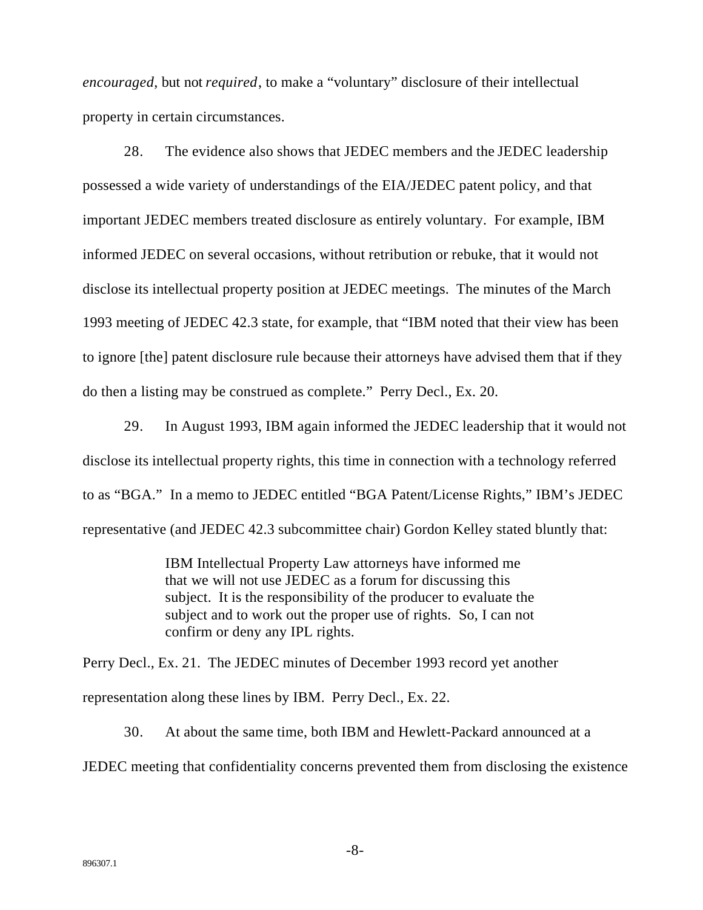*encouraged*, but not *required*, to make a "voluntary" disclosure of their intellectual property in certain circumstances.

28. The evidence also shows that JEDEC members and the JEDEC leadership possessed a wide variety of understandings of the EIA/JEDEC patent policy, and that important JEDEC members treated disclosure as entirely voluntary. For example, IBM informed JEDEC on several occasions, without retribution or rebuke, that it would not disclose its intellectual property position at JEDEC meetings. The minutes of the March 1993 meeting of JEDEC 42.3 state, for example, that "IBM noted that their view has been to ignore [the] patent disclosure rule because their attorneys have advised them that if they do then a listing may be construed as complete." Perry Decl., Ex. 20.

29. In August 1993, IBM again informed the JEDEC leadership that it would not disclose its intellectual property rights, this time in connection with a technology referred to as "BGA." In a memo to JEDEC entitled "BGA Patent/License Rights," IBM's JEDEC representative (and JEDEC 42.3 subcommittee chair) Gordon Kelley stated bluntly that:

> IBM Intellectual Property Law attorneys have informed me that we will not use JEDEC as a forum for discussing this subject. It is the responsibility of the producer to evaluate the subject and to work out the proper use of rights. So, I can not confirm or deny any IPL rights.

Perry Decl., Ex. 21. The JEDEC minutes of December 1993 record yet another representation along these lines by IBM. Perry Decl., Ex. 22.

30. At about the same time, both IBM and Hewlett-Packard announced at a JEDEC meeting that confidentiality concerns prevented them from disclosing the existence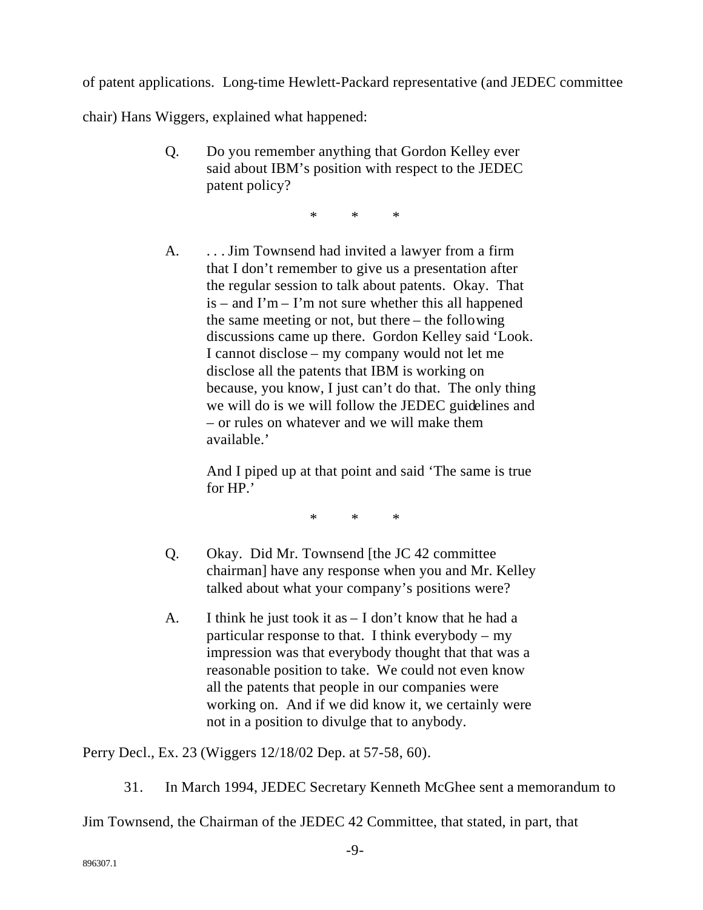of patent applications. Long-time Hewlett-Packard representative (and JEDEC committee

chair) Hans Wiggers, explained what happened:

Q. Do you remember anything that Gordon Kelley ever said about IBM's position with respect to the JEDEC patent policy?

\* \* \*

A. ... Jim Townsend had invited a lawyer from a firm that I don't remember to give us a presentation after the regular session to talk about patents. Okay. That  $is - and I'm - I'm$  not sure whether this all happened the same meeting or not, but there – the following discussions came up there. Gordon Kelley said 'Look. I cannot disclose – my company would not let me disclose all the patents that IBM is working on because, you know, I just can't do that. The only thing we will do is we will follow the JEDEC guidelines and – or rules on whatever and we will make them available.'

> And I piped up at that point and said 'The same is true for HP.'

> > \* \* \*

- Q. Okay. Did Mr. Townsend [the JC 42 committee chairman] have any response when you and Mr. Kelley talked about what your company's positions were?
- A. I think he just took it as I don't know that he had a particular response to that. I think everybody – my impression was that everybody thought that that was a reasonable position to take. We could not even know all the patents that people in our companies were working on. And if we did know it, we certainly were not in a position to divulge that to anybody.

Perry Decl., Ex. 23 (Wiggers 12/18/02 Dep. at 57-58, 60).

31. In March 1994, JEDEC Secretary Kenneth McGhee sent a memorandum to

Jim Townsend, the Chairman of the JEDEC 42 Committee, that stated, in part, that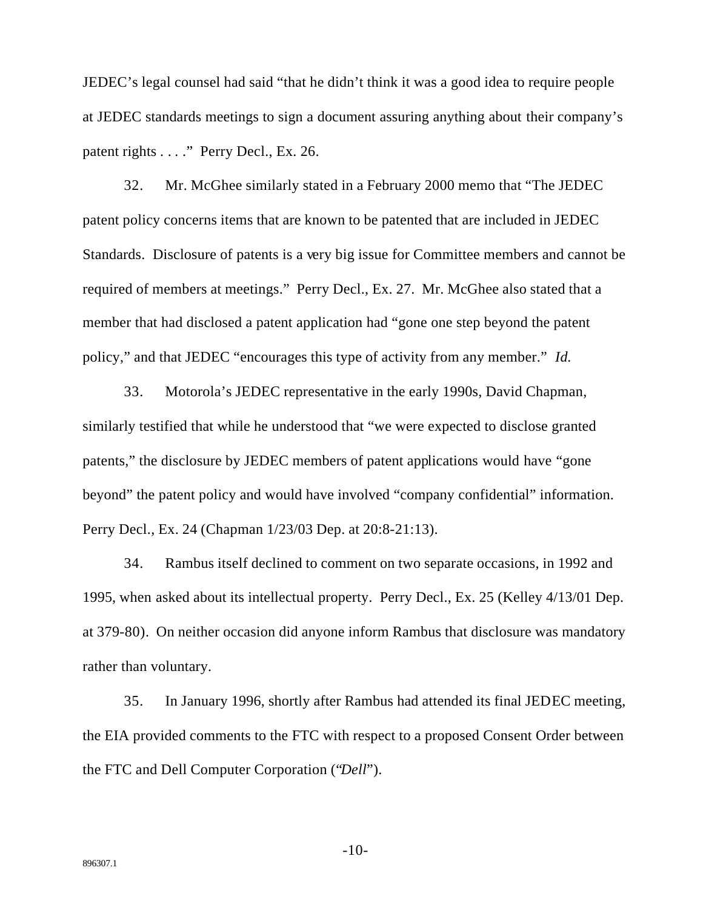JEDEC's legal counsel had said "that he didn't think it was a good idea to require people at JEDEC standards meetings to sign a document assuring anything about their company's patent rights . . . ." Perry Decl., Ex. 26.

32. Mr. McGhee similarly stated in a February 2000 memo that "The JEDEC patent policy concerns items that are known to be patented that are included in JEDEC Standards. Disclosure of patents is a very big issue for Committee members and cannot be required of members at meetings." Perry Decl., Ex. 27. Mr. McGhee also stated that a member that had disclosed a patent application had "gone one step beyond the patent policy," and that JEDEC "encourages this type of activity from any member." *Id.*

33. Motorola's JEDEC representative in the early 1990s, David Chapman, similarly testified that while he understood that "we were expected to disclose granted patents," the disclosure by JEDEC members of patent applications would have "gone beyond" the patent policy and would have involved "company confidential" information. Perry Decl., Ex. 24 (Chapman 1/23/03 Dep. at 20:8-21:13).

34. Rambus itself declined to comment on two separate occasions, in 1992 and 1995, when asked about its intellectual property. Perry Decl., Ex. 25 (Kelley 4/13/01 Dep. at 379-80). On neither occasion did anyone inform Rambus that disclosure was mandatory rather than voluntary.

35. In January 1996, shortly after Rambus had attended its final JEDEC meeting, the EIA provided comments to the FTC with respect to a proposed Consent Order between the FTC and Dell Computer Corporation ("*Dell*").

-10-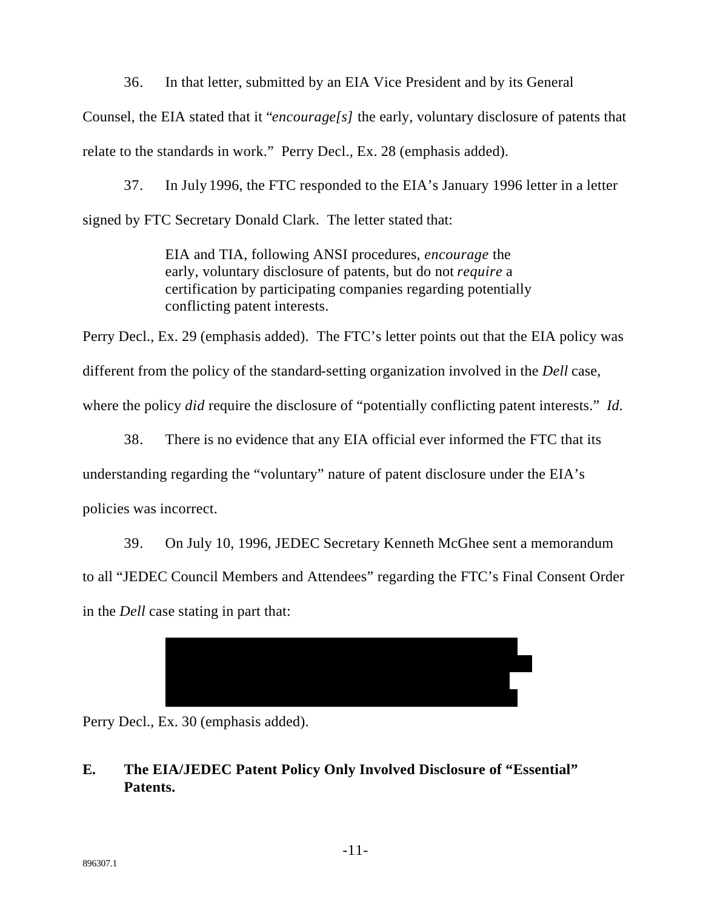36. In that letter, submitted by an EIA Vice President and by its General

Counsel, the EIA stated that it "*encourage[s]* the early, voluntary disclosure of patents that relate to the standards in work." Perry Decl., Ex. 28 (emphasis added).

37. In July 1996, the FTC responded to the EIA's January 1996 letter in a letter signed by FTC Secretary Donald Clark. The letter stated that:

> EIA and TIA, following ANSI procedures, *encourage* the early, voluntary disclosure of patents, but do not *require* a certification by participating companies regarding potentially conflicting patent interests.

Perry Decl., Ex. 29 (emphasis added). The FTC's letter points out that the EIA policy was different from the policy of the standard-setting organization involved in the *Dell* case, where the policy *did* require the disclosure of "potentially conflicting patent interests." *Id.* 

38. There is no evidence that any EIA official ever informed the FTC that its understanding regarding the "voluntary" nature of patent disclosure under the EIA's policies was incorrect.

39. On July 10, 1996, JEDEC Secretary Kenneth McGhee sent a memorandum to all "JEDEC Council Members and Attendees" regarding the FTC's Final Consent Order in the *Dell* case stating in part that:



Perry Decl., Ex. 30 (emphasis added).

#### E. The EIA/JEDEC Patent Policy Only Involved Disclosure of "Essential" Patents.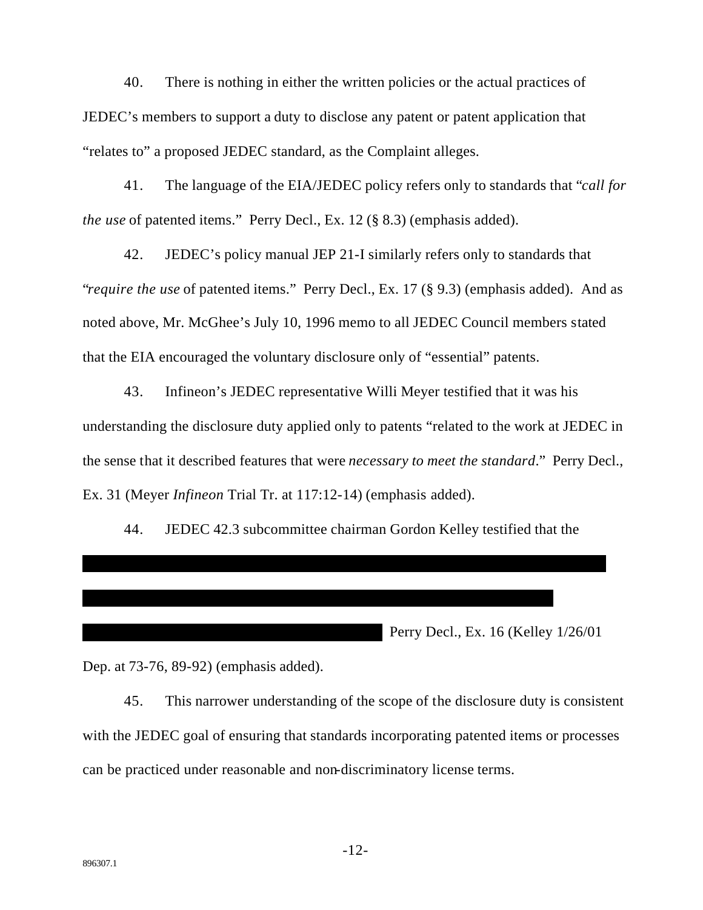40. There is nothing in either the written policies or the actual practices of JEDEC's members to support a duty to disclose any patent or patent application that "relates to" a proposed JEDEC standard, as the Complaint alleges.

41. The language of the EIA/JEDEC policy refers only to standards that "call for *the use* of patented items." Perry Decl., Ex. 12 (§ 8.3) (emphasis added).

42. JEDEC's policy manual JEP 21-I similarly refers only to standards that *"require the use* of patented items." Perry Decl., Ex. 17 (§ 9.3) (emphasis added). And as noted above, Mr. McGhee's July 10, 1996 memo to all JEDEC Council members stated that the EIA encouraged the voluntary disclosure only of "essential" patents.

43. Infineon's JEDEC representative Willi Meyer testified that it was his understanding the disclosure duty applied only to patents "related to the work at JEDEC in the sense that it described features that were *necessary to meet the standard*." Perry Decl., Ex. 31 (Meyer *Infineon* Trial Tr. at 117:12-14) (emphasis added).

44. JEDEC 42.3 subcommittee chairman Gordon Kelley testified that the

Perry Decl., Ex. 16 (Kelley 1/26/01)

Dep. at 73-76, 89-92) (emphasis added).

45. This narrower understanding of the scope of the disclosure duty is consistent with the JEDEC goal of ensuring that standards incorporating patented items or processes can be practiced under reasonable and non-discriminatory license terms.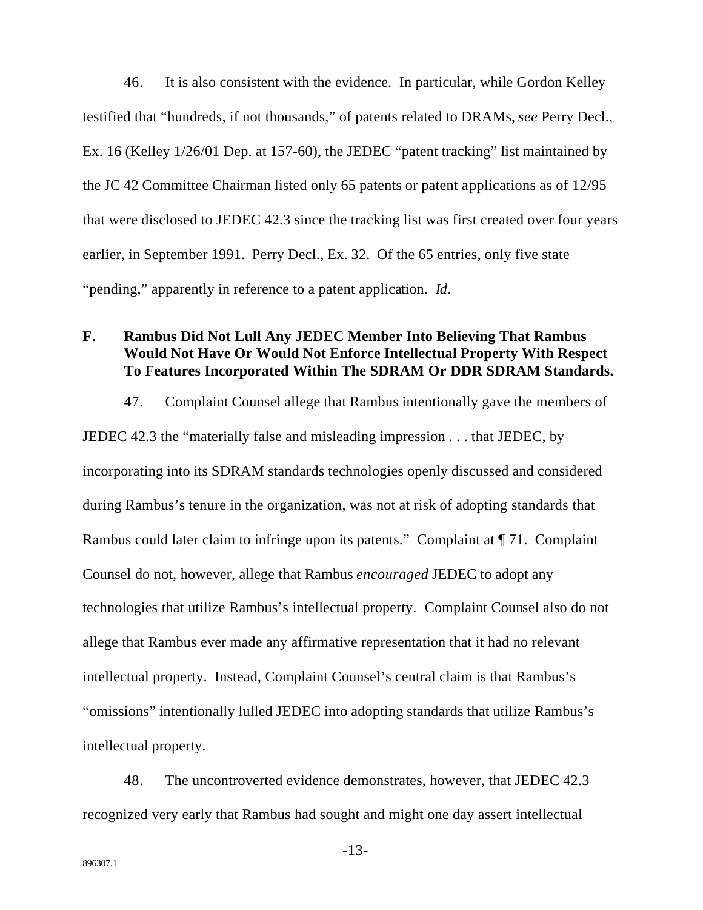46. It is also consistent with the evidence. In particular, while Gordon Kelley testified that "hundreds, if not thousands," of patents related to DRAMs, *see* Perry Decl., Ex. 16 (Kelley 1/26/01 Dep. at 157-60), the JEDEC "patent tracking" list maintained by the JC 42 Committee Chairman listed only 65 patents or patent applications as of 12/95 that were disclosed to JEDEC 42.3 since the tracking list was first created over four years earlier, in September 1991. Perry Decl., Ex. 32. Of the 65 entries, only five state "pending," apparently in reference to a patent application. *Id*.

### **F. Rambus Did Not Lull Any JEDEC Member Into Believing That Rambus Would Not Have Or Would Not Enforce Intellectual Property With Respect To Features Incorporated Within The SDRAM Or DDR SDRAM Standards.**

47. Complaint Counsel allege that Rambus intentionally gave the members of JEDEC 42.3 the "materially false and misleading impression . . . that JEDEC, by incorporating into its SDRAM standards technologies openly discussed and considered during Rambus's tenure in the organization, was not at risk of adopting standards that Rambus could later claim to infringe upon its patents." Complaint at ¶ 71. Complaint Counsel do not, however, allege that Rambus *encouraged* JEDEC to adopt any technologies that utilize Rambus's intellectual property. Complaint Counsel also do not allege that Rambus ever made any affirmative representation that it had no relevant intellectual property. Instead, Complaint Counsel's central claim is that Rambus's "omissions" intentionally lulled JEDEC into adopting standards that utilize Rambus's intellectual property.

48. The uncontroverted evidence demonstrates, however, that JEDEC 42.3 recognized very early that Rambus had sought and might one day assert intellectual

-13-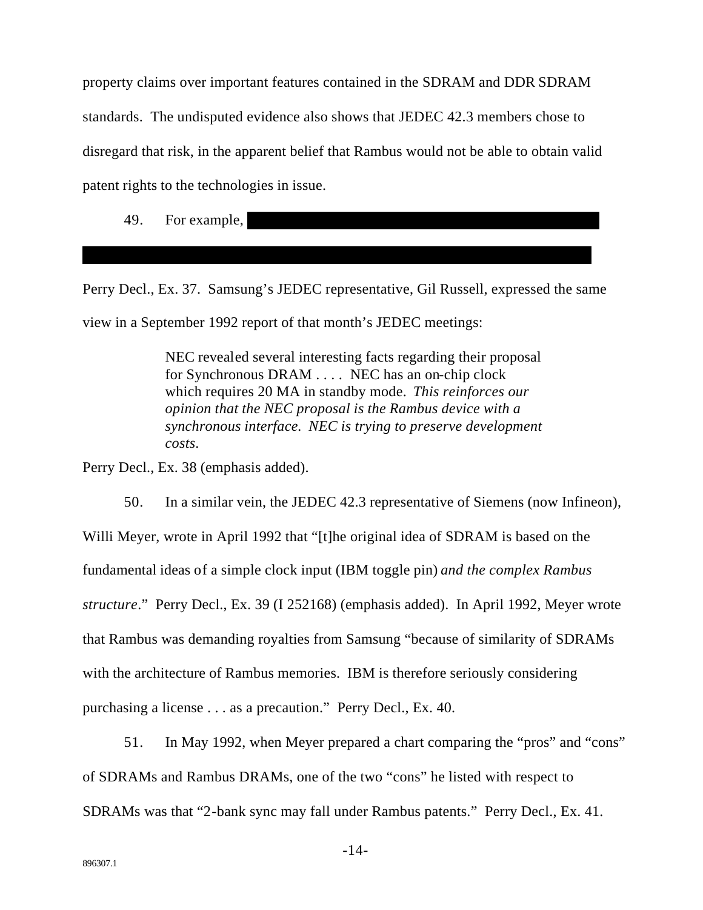property claims over important features contained in the SDRAM and DDR SDRAM standards. The undisputed evidence also shows that JEDEC 42.3 members chose to disregard that risk, in the apparent belief that Rambus would not be able to obtain valid patent rights to the technologies in issue.

49. For example,

Perry Decl., Ex. 37. Samsung's JEDEC representative, Gil Russell, expressed the same view in a September 1992 report of that month's JEDEC meetings:

> NEC revealed several interesting facts regarding their proposal for Synchronous DRAM . . . . NEC has an on-chip clock which requires 20 MA in standby mode. This reinforces our opinion that the NEC proposal is the Rambus device with a synchronous interface. NEC is trying to preserve development  $costs.$

Perry Decl., Ex. 38 (emphasis added).

 $50<sub>1</sub>$ In a similar vein, the JEDEC 42.3 representative of Siemens (now Infineon), Willi Meyer, wrote in April 1992 that "[t] he original idea of SDRAM is based on the fundamental ideas of a simple clock input (IBM toggle pin) and the complex Rambus structure." Perry Decl., Ex. 39 (I 252168) (emphasis added). In April 1992, Meyer wrote that Rambus was demanding royalties from Samsung "because of similarity of SDRAMs" with the architecture of Rambus memories. IBM is therefore seriously considering purchasing a license . . . as a precaution." Perry Decl., Ex. 40.

In May 1992, when Meyer prepared a chart comparing the "pros" and "cons" 51. of SDRAMs and Rambus DRAMs, one of the two "cons" he listed with respect to SDRAMs was that "2-bank sync may fall under Rambus patents." Perry Decl., Ex. 41.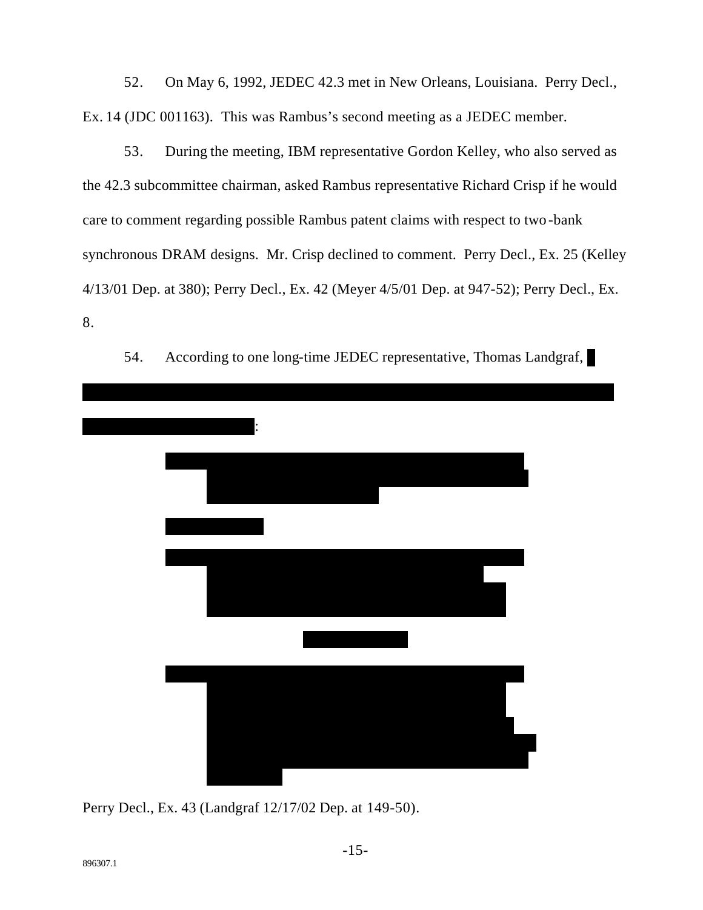On May 6, 1992, JEDEC 42.3 met in New Orleans, Louisiana. Perry Decl., 52. Ex. 14 (JDC 001163). This was Rambus's second meeting as a JEDEC member.

During the meeting, IBM representative Gordon Kelley, who also served as 53. the 42.3 subcommittee chairman, asked Rambus representative Richard Crisp if he would care to comment regarding possible Rambus patent claims with respect to two-bank synchronous DRAM designs. Mr. Crisp declined to comment. Perry Decl., Ex. 25 (Kelley 4/13/01 Dep. at 380); Perry Decl., Ex. 42 (Meyer 4/5/01 Dep. at 947-52); Perry Decl., Ex. 8.



According to one long-time JEDEC representative, Thomas Landgraf, 54.

Perry Decl., Ex. 43 (Landgraf 12/17/02 Dep. at 149-50).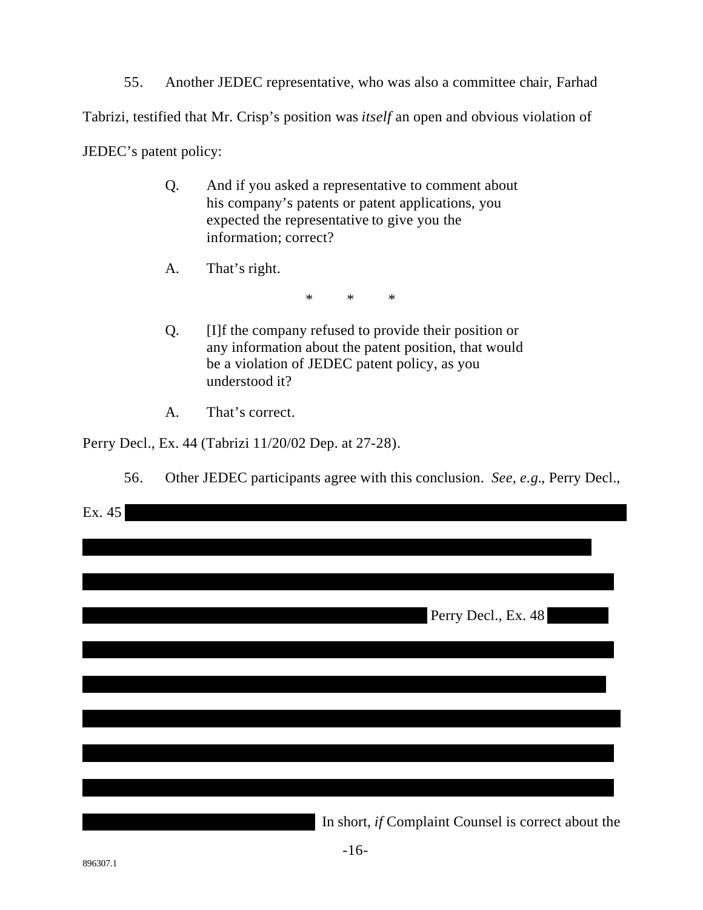55. Another JEDEC representative, who was also a committee chair, Farhad Tabrizi, testified that Mr. Crisp's position was *itself* an open and obvious violation of JEDEC's patent policy:

- Q. And if you asked a representative to comment about his company's patents or patent applications, you expected the representative to give you the information; correct?
- That's right. A.

 $\ast$  $\ast$  $\ast$ 

- [I]f the company refused to provide their position or  $Q<sub>r</sub>$ any information about the patent position, that would be a violation of JEDEC patent policy, as you understood it?
- That's correct.  $A<sub>1</sub>$

Perry Decl., Ex. 44 (Tabrizi 11/20/02 Dep. at 27-28).

56. Other JEDEC participants agree with this conclusion. See, e.g., Perry Decl.,

| Ex. 45 |                                                     |
|--------|-----------------------------------------------------|
|        |                                                     |
|        |                                                     |
|        |                                                     |
|        | Perry Decl., Ex. 48                                 |
|        |                                                     |
|        |                                                     |
|        |                                                     |
|        |                                                     |
|        |                                                     |
|        |                                                     |
|        |                                                     |
|        |                                                     |
|        | In short, if Complaint Counsel is correct about the |

 $-16-$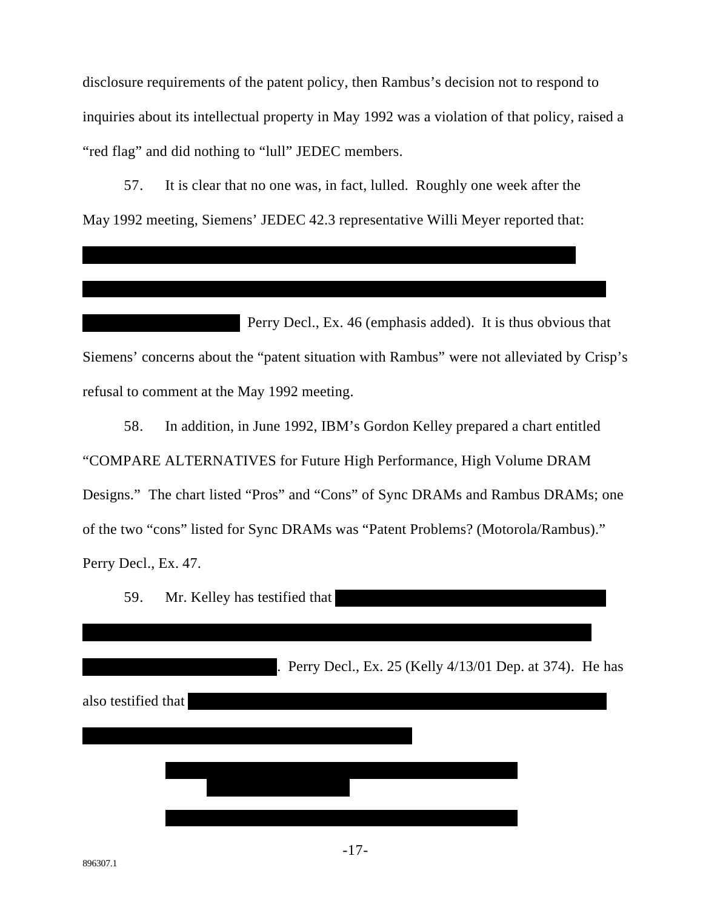disclosure requirements of the patent policy, then Rambus's decision not to respond to inquiries about its intellectual property in May 1992 was a violation of that policy, raised a "red flag" and did nothing to "lull" JEDEC members.

57. It is clear that no one was, in fact, lulled. Roughly one week after the May 1992 meeting, Siemens' JEDEC 42.3 representative Willi Meyer reported that:

Perry Decl., Ex. 46 (emphasis added). It is thus obvious that Siemens' concerns about the "patent situation with Rambus" were not alleviated by Crisp's refusal to comment at the May 1992 meeting.

58. In addition, in June 1992, IBM's Gordon Kelley prepared a chart entitled "COMPARE ALTERNATIVES for Future High Performance, High Volume DRAM Designs." The chart listed "Pros" and "Cons" of Sync DRAMs and Rambus DRAMs; one of the two "cons" listed for Sync DRAMs was "Patent Problems? (Motorola/Rambus)." Perry Decl., Ex. 47.

Mr. Kelley has testified that 59.

. Perry Decl., Ex. 25 (Kelly 4/13/01 Dep. at 374). He has also testified that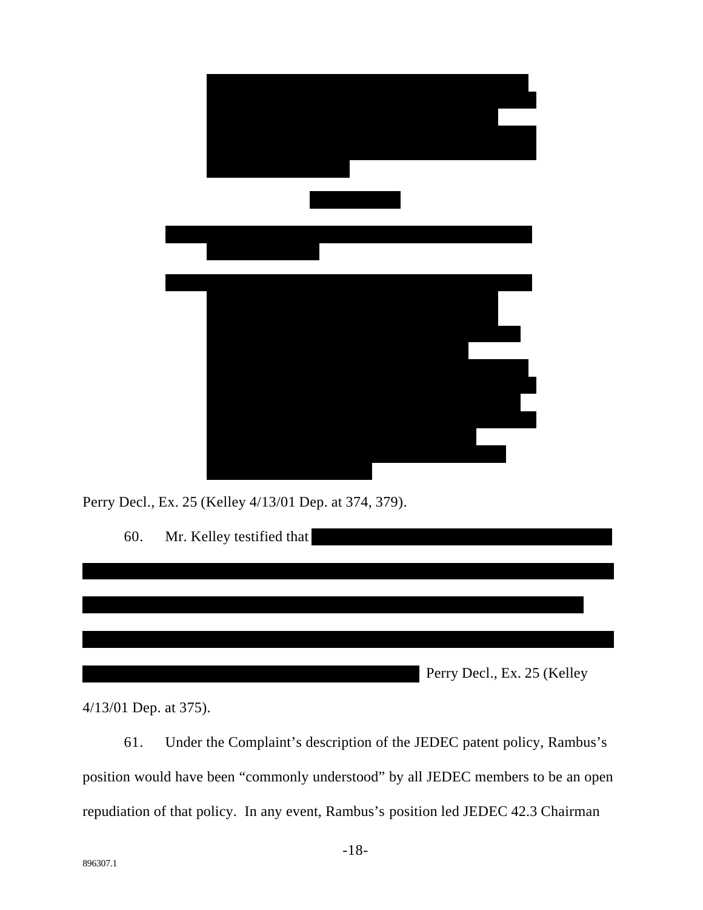

Perry Decl., Ex. 25 (Kelley 4/13/01 Dep. at 374, 379).

Mr. Kelley testified that 60. Perry Decl., Ex. 25 (Kelley

 $4/13/01$  Dep. at 375).

Under the Complaint's description of the JEDEC patent policy, Rambus's 61. position would have been "commonly understood" by all JEDEC members to be an open repudiation of that policy. In any event, Rambus's position led JEDEC 42.3 Chairman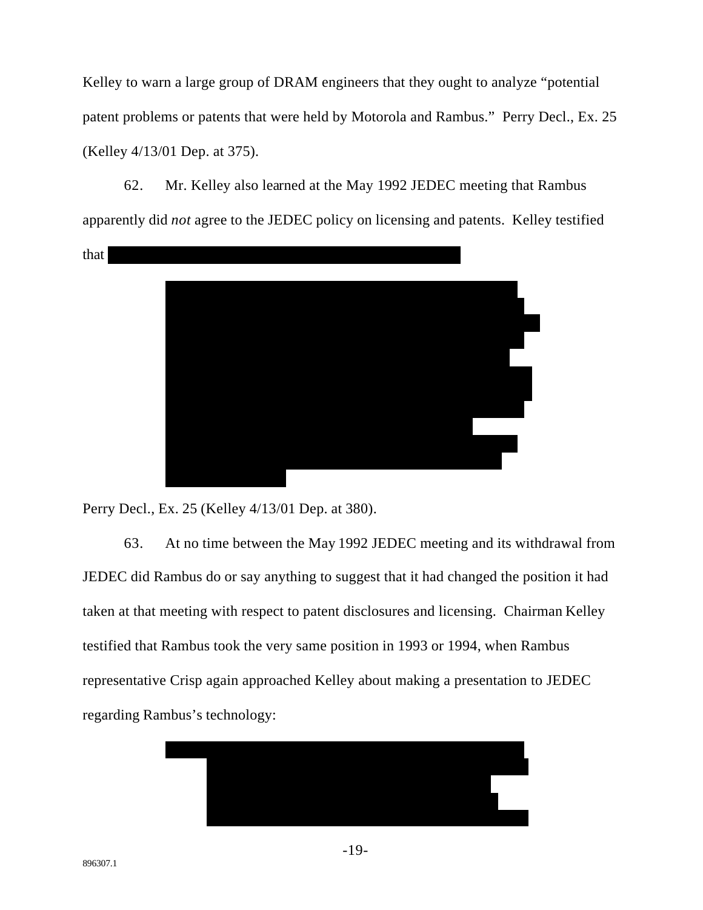Kelley to warn a large group of DRAM engineers that they ought to analyze "potential" patent problems or patents that were held by Motorola and Rambus." Perry Decl., Ex. 25 (Kelley 4/13/01 Dep. at 375).

62. Mr. Kelley also learned at the May 1992 JEDEC meeting that Rambus apparently did *not* agree to the JEDEC policy on licensing and patents. Kelley testified that



Perry Decl., Ex. 25 (Kelley 4/13/01 Dep. at 380).

63. At no time between the May 1992 JEDEC meeting and its withdrawal from JEDEC did Rambus do or say anything to suggest that it had changed the position it had taken at that meeting with respect to patent disclosures and licensing. Chairman Kelley testified that Rambus took the very same position in 1993 or 1994, when Rambus representative Crisp again approached Kelley about making a presentation to JEDEC regarding Rambus's technology:

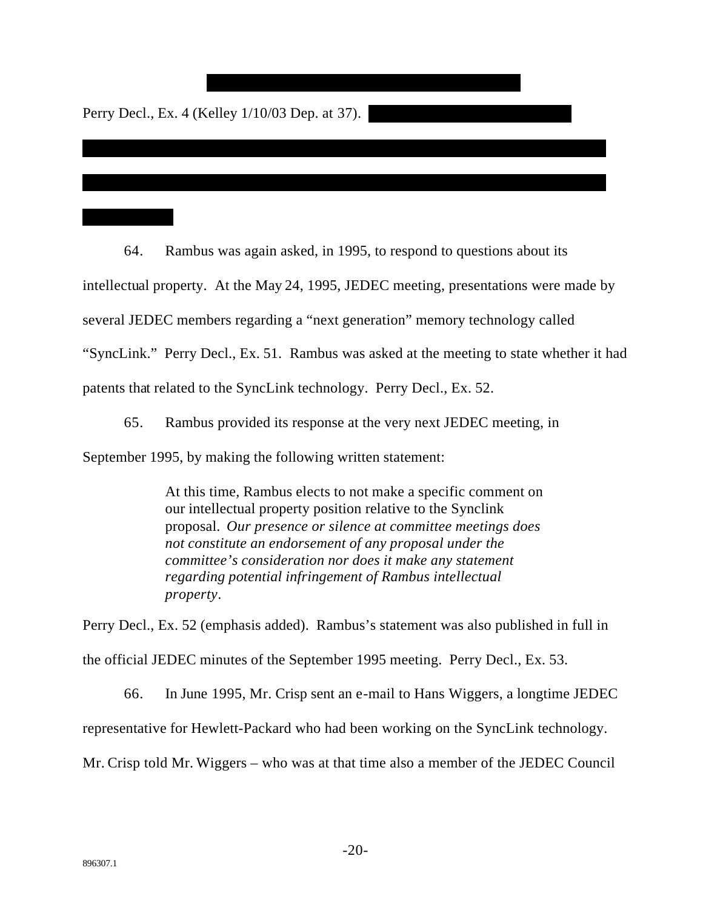Perry Decl., Ex. 4 (Kelley 1/10/03 Dep. at 37).

64. Rambus was again asked, in 1995, to respond to questions about its intellectual property. At the May 24, 1995, JEDEC meeting, presentations were made by several JEDEC members regarding a "next generation" memory technology called "SyncLink." Perry Decl., Ex. 51. Rambus was asked at the meeting to state whether it had patents that related to the SyncLink technology. Perry Decl., Ex. 52.

\*\*\*\*\*\*\*\*\*\*\*\*\*\*\*\*\*\*\*\*\*\*\*\*\*\*\*\*\*\*\*\*\*\*\*\*\*\*\*\*\*\*\*\*\*\*\*\*\*\*\*\*\*\*\*\*\*\*\*\*\*\*\*\*\*\*\*\*\*\*

\*\*\*\*\*\*\*\*\*\*\*\*\*\*\*\*\*\*\*\*\*\*\*\*\*\*\*\*\*\*\*\*\*\*\*\*\*\*\*\*\*\*\*\*\*\*\*\*\*\*\*\*\*\*\*\*\*\*\*\*\*\*\*\*\*\*\*\*\*\*

65. Rambus provided its response at the very next JEDEC meeting, in September 1995, by making the following written statement:

> At this time, Rambus elects to not make a specific comment on our intellectual property position relative to the Synclink proposal. *Our presence or silence at committee meetings does not constitute an endorsement of any proposal under the committee's consideration nor does it make any statement regarding potential infringement of Rambus intellectual property*.

Perry Decl., Ex. 52 (emphasis added). Rambus's statement was also published in full in the official JEDEC minutes of the September 1995 meeting. Perry Decl., Ex. 53.

66. In June 1995, Mr. Crisp sent an e-mail to Hans Wiggers, a longtime JEDEC representative for Hewlett-Packard who had been working on the SyncLink technology. Mr. Crisp told Mr. Wiggers – who was at that time also a member of the JEDEC Council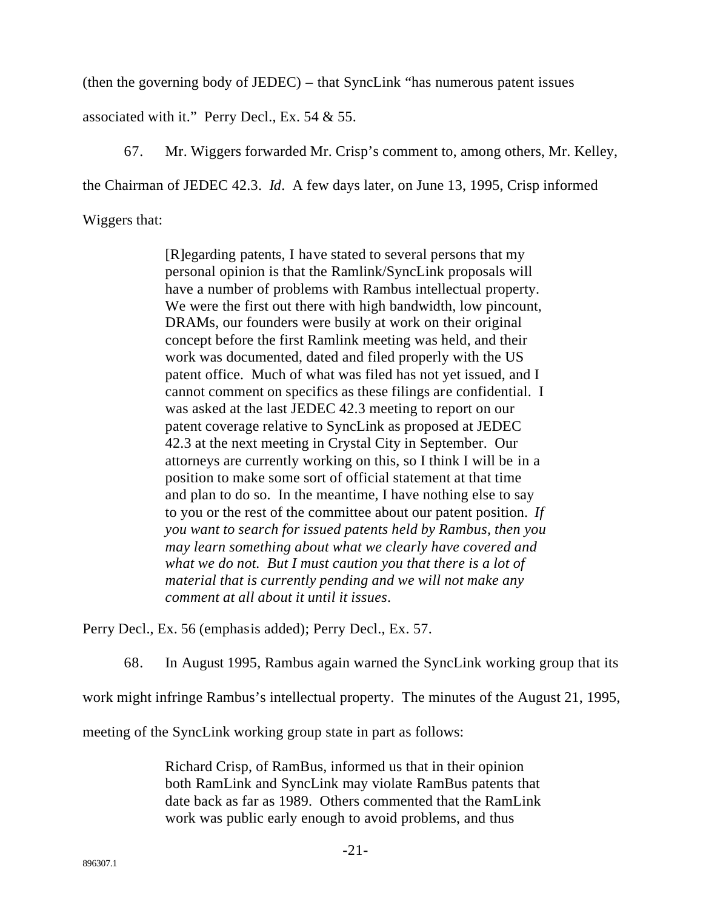(then the governing body of JEDEC) – that SyncLink "has numerous patent issues

associated with it." Perry Decl., Ex. 54 & 55.

67. Mr. Wiggers forwarded Mr. Crisp's comment to, among others, Mr. Kelley, the Chairman of JEDEC 42.3. *Id*. A few days later, on June 13, 1995, Crisp informed Wiggers that:

> [R]egarding patents, I have stated to several persons that my personal opinion is that the Ramlink/SyncLink proposals will have a number of problems with Rambus intellectual property. We were the first out there with high bandwidth, low pincount, DRAMs, our founders were busily at work on their original concept before the first Ramlink meeting was held, and their work was documented, dated and filed properly with the US patent office. Much of what was filed has not yet issued, and I cannot comment on specifics as these filings are confidential. I was asked at the last JEDEC 42.3 meeting to report on our patent coverage relative to SyncLink as proposed at JEDEC 42.3 at the next meeting in Crystal City in September. Our attorneys are currently working on this, so I think I will be in a position to make some sort of official statement at that time and plan to do so. In the meantime, I have nothing else to say to you or the rest of the committee about our patent position. *If you want to search for issued patents held by Rambus, then you may learn something about what we clearly have covered and what we do not. But I must caution you that there is a lot of material that is currently pending and we will not make any comment at all about it until it issues*.

Perry Decl., Ex. 56 (emphasis added); Perry Decl., Ex. 57.

68. In August 1995, Rambus again warned the SyncLink working group that its

work might infringe Rambus's intellectual property. The minutes of the August 21, 1995,

meeting of the SyncLink working group state in part as follows:

Richard Crisp, of RamBus, informed us that in their opinion both RamLink and SyncLink may violate RamBus patents that date back as far as 1989. Others commented that the RamLink work was public early enough to avoid problems, and thus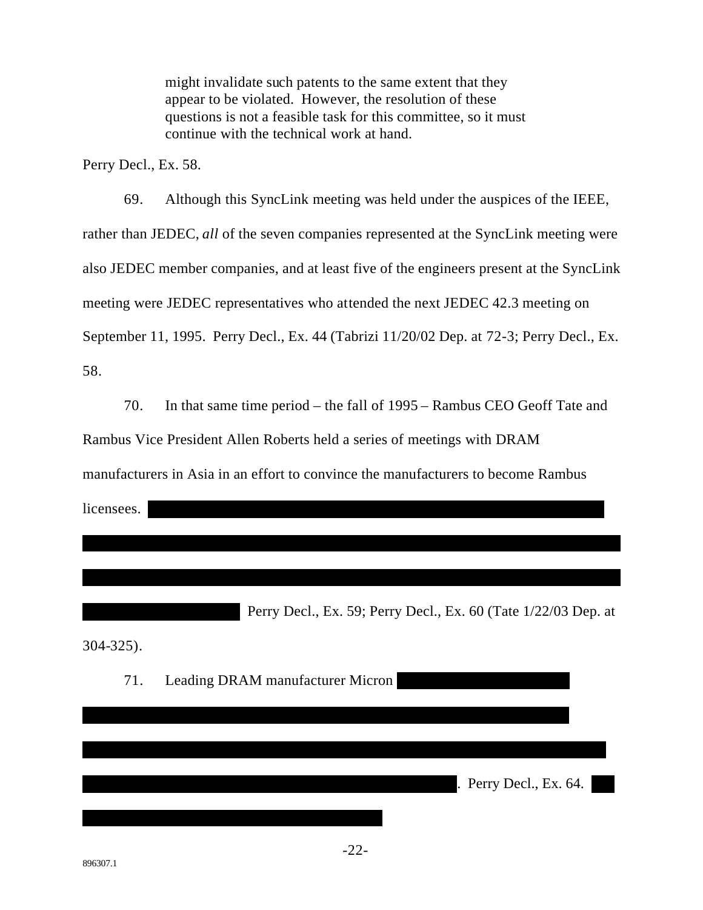might invalidate such patents to the same extent that they appear to be violated. However, the resolution of these questions is not a feasible task for this committee, so it must continue with the technical work at hand.

Perry Decl., Ex. 58.

69. Although this SyncLink meeting was held under the auspices of the IEEE, rather than JEDEC, all of the seven companies represented at the SyncLink meeting were also JEDEC member companies, and at least five of the engineers present at the SyncLink meeting were JEDEC representatives who attended the next JEDEC 42.3 meeting on September 11, 1995. Perry Decl., Ex. 44 (Tabrizi 11/20/02 Dep. at 72-3; Perry Decl., Ex. 58.

70. In that same time period – the fall of 1995 – Rambus CEO Geoff Tate and

Rambus Vice President Allen Roberts held a series of meetings with DRAM

manufacturers in Asia in an effort to convince the manufacturers to become Rambus

licensees.

Perry Decl., Ex. 59; Perry Decl., Ex. 60 (Tate 1/22/03 Dep. at

 $304 - 325$ ).

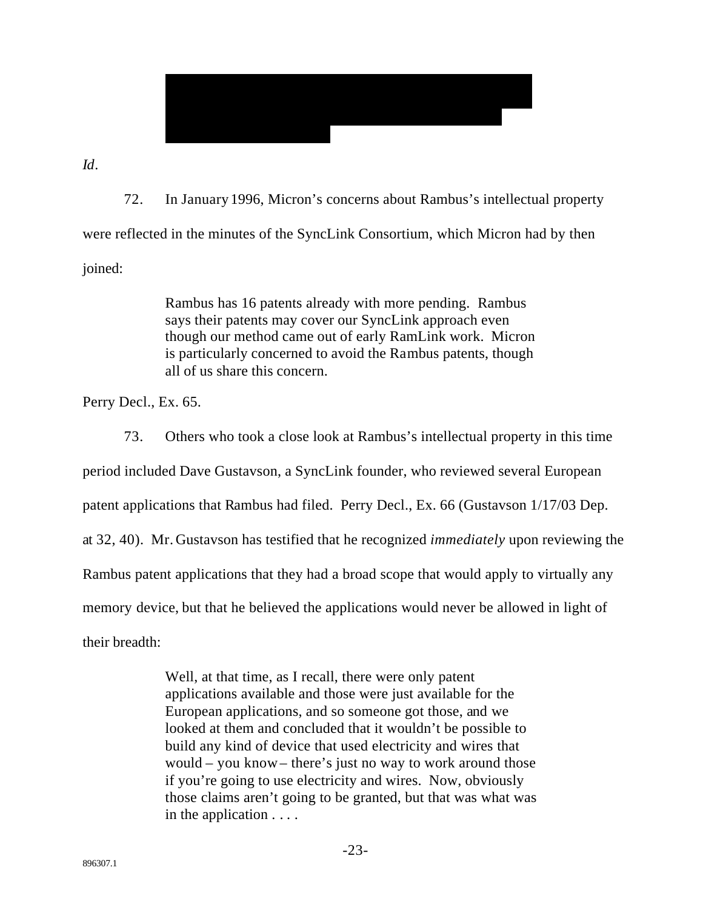

 $Id.$ 

72. In January 1996, Micron's concerns about Rambus's intellectual property were reflected in the minutes of the SyncLink Consortium, which Micron had by then joined:

> Rambus has 16 patents already with more pending. Rambus says their patents may cover our SyncLink approach even though our method came out of early RamLink work. Micron is particularly concerned to avoid the Rambus patents, though all of us share this concern.

Perry Decl., Ex. 65.

73. Others who took a close look at Rambus's intellectual property in this time

period included Dave Gustavson, a SyncLink founder, who reviewed several European

patent applications that Rambus had filed. Perry Decl., Ex. 66 (Gustavson 1/17/03 Dep.

at 32, 40). Mr. Gustavson has testified that he recognized *immediately* upon reviewing the

Rambus patent applications that they had a broad scope that would apply to virtually any

memory device, but that he believed the applications would never be allowed in light of

their breadth:

Well, at that time, as I recall, there were only patent applications available and those were just available for the European applications, and so someone got those, and we looked at them and concluded that it wouldn't be possible to build any kind of device that used electricity and wires that would – you know – there's just no way to work around those if you're going to use electricity and wires. Now, obviously those claims aren't going to be granted, but that was what was in the application  $\dots$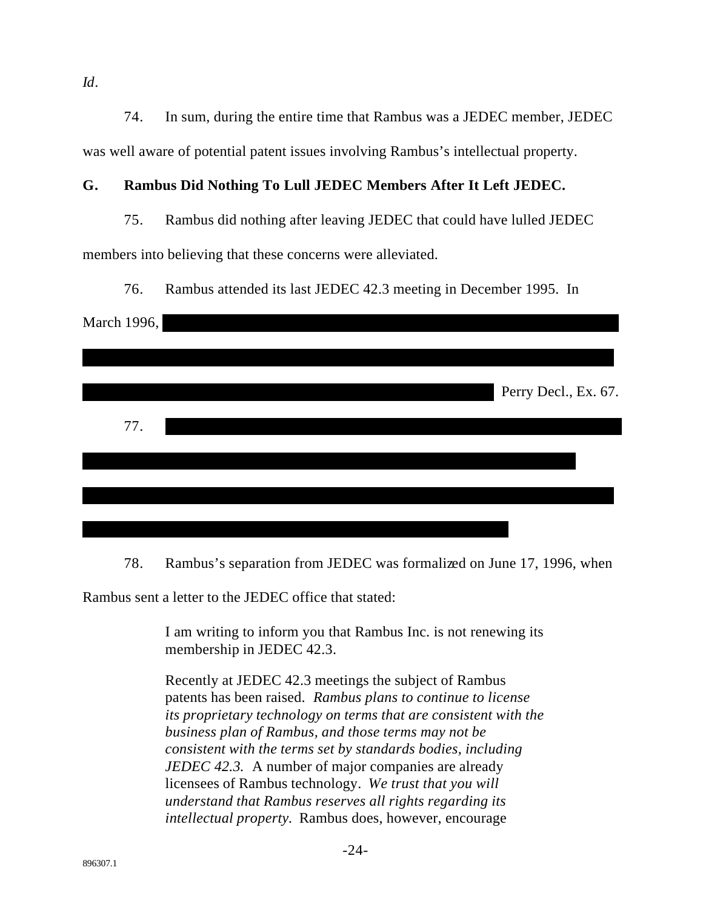$Id.$ 

74. In sum, during the entire time that Rambus was a JEDEC member, JEDEC was well aware of potential patent issues involving Rambus's intellectual property.

#### G. Rambus Did Nothing To Lull JEDEC Members After It Left JEDEC.

75. Rambus did nothing after leaving JEDEC that could have lulled JEDEC

members into believing that these concerns were alleviated.

76. Rambus attended its last JEDEC 42.3 meeting in December 1995. In

| March 1996, |  |  |                      |
|-------------|--|--|----------------------|
|             |  |  |                      |
|             |  |  | Perry Decl., Ex. 67. |
| 77.         |  |  |                      |
|             |  |  |                      |
|             |  |  |                      |
|             |  |  |                      |

78. Rambus's separation from JEDEC was formalized on June 17, 1996, when

Rambus sent a letter to the JEDEC office that stated:

I am writing to inform you that Rambus Inc. is not renewing its membership in JEDEC 42.3.

Recently at JEDEC 42.3 meetings the subject of Rambus patents has been raised. Rambus plans to continue to license its proprietary technology on terms that are consistent with the business plan of Rambus, and those terms may not be consistent with the terms set by standards bodies, including JEDEC 42.3. A number of major companies are already licensees of Rambus technology. We trust that you will understand that Rambus reserves all rights regarding its intellectual property. Rambus does, however, encourage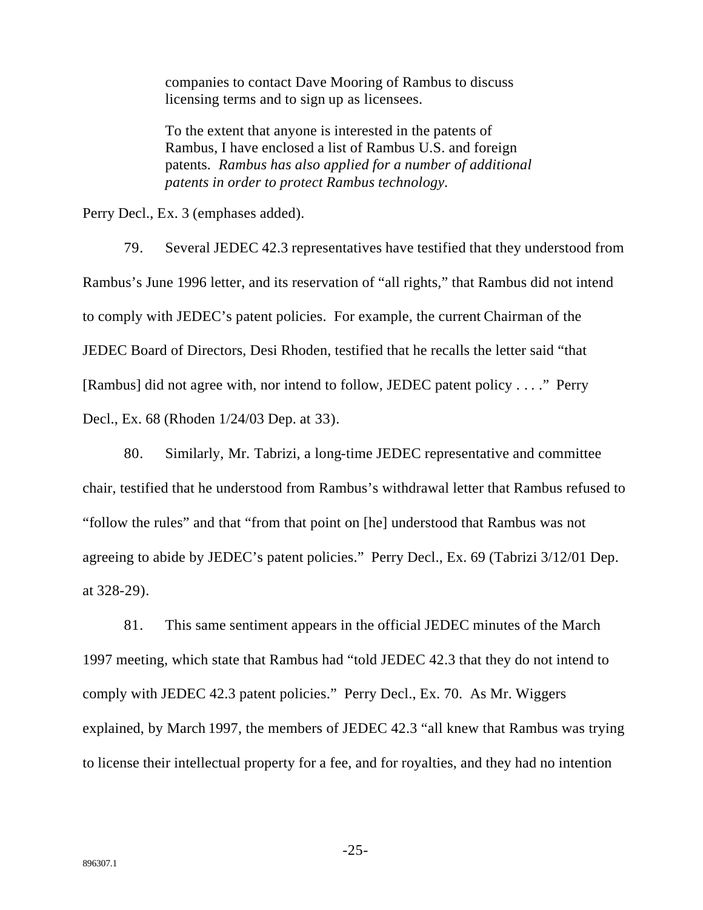companies to contact Dave Mooring of Rambus to discuss licensing terms and to sign up as licensees.

To the extent that anyone is interested in the patents of Rambus, I have enclosed a list of Rambus U.S. and foreign patents. *Rambus has also applied for a number of additional patents in order to protect Rambus technology.*

Perry Decl., Ex. 3 (emphases added).

79. Several JEDEC 42.3 representatives have testified that they understood from Rambus's June 1996 letter, and its reservation of "all rights," that Rambus did not intend to comply with JEDEC's patent policies. For example, the current Chairman of the JEDEC Board of Directors, Desi Rhoden, testified that he recalls the letter said "that [Rambus] did not agree with, nor intend to follow, JEDEC patent policy . . . ." Perry Decl., Ex. 68 (Rhoden 1/24/03 Dep. at 33).

80. Similarly, Mr. Tabrizi, a long-time JEDEC representative and committee chair, testified that he understood from Rambus's withdrawal letter that Rambus refused to "follow the rules" and that "from that point on [he] understood that Rambus was not agreeing to abide by JEDEC's patent policies." Perry Decl., Ex. 69 (Tabrizi 3/12/01 Dep. at 328-29).

81. This same sentiment appears in the official JEDEC minutes of the March 1997 meeting, which state that Rambus had "told JEDEC 42.3 that they do not intend to comply with JEDEC 42.3 patent policies." Perry Decl., Ex. 70. As Mr. Wiggers explained, by March 1997, the members of JEDEC 42.3 "all knew that Rambus was trying to license their intellectual property for a fee, and for royalties, and they had no intention

-25-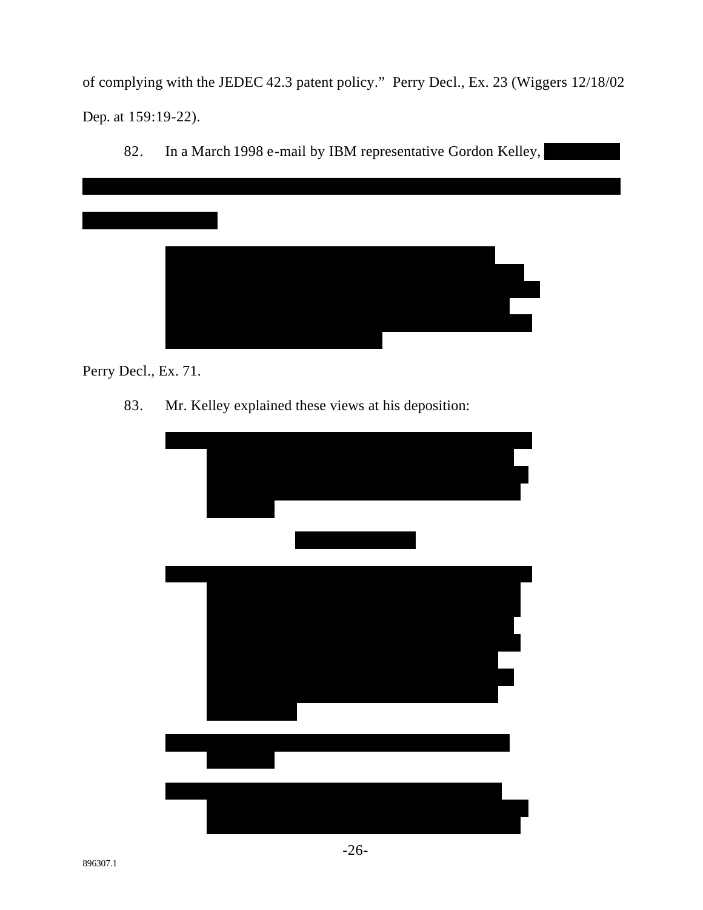of complying with the JEDEC 42.3 patent policy." Perry Decl., Ex. 23 (Wiggers 12/18/02) Dep. at 159:19-22).

82. In a March 1998 e-mail by IBM representative Gordon Kelley,



Perry Decl., Ex. 71.

Mr. Kelley explained these views at his deposition: 83.

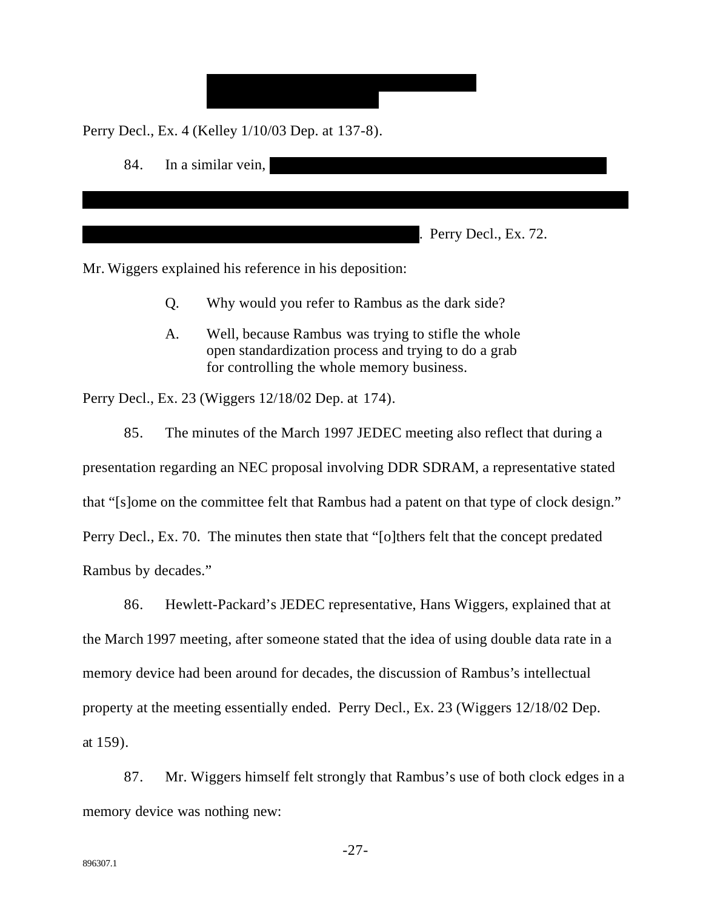Perry Decl., Ex. 4 (Kelley 1/10/03 Dep. at 137-8).



Mr. Wiggers explained his reference in his deposition:

- $O<sub>r</sub>$ Why would you refer to Rambus as the dark side?
- $A_{1}$ Well, because Rambus was trying to stifle the whole open standardization process and trying to do a grab for controlling the whole memory business.

Perry Decl., Ex. 23 (Wiggers 12/18/02 Dep. at 174).

85. The minutes of the March 1997 JEDEC meeting also reflect that during a

presentation regarding an NEC proposal involving DDR SDRAM, a representative stated

that "[s]ome on the committee felt that Rambus had a patent on that type of clock design."

Perry Decl., Ex. 70. The minutes then state that "[o] there felt that the concept predated

Rambus by decades."

86. Hewlett-Packard's JEDEC representative, Hans Wiggers, explained that at the March 1997 meeting, after someone stated that the idea of using double data rate in a memory device had been around for decades, the discussion of Rambus's intellectual property at the meeting essentially ended. Perry Decl., Ex. 23 (Wiggers 12/18/02 Dep. at 159).

87. Mr. Wiggers himself felt strongly that Rambus's use of both clock edges in a memory device was nothing new:

 $-27-$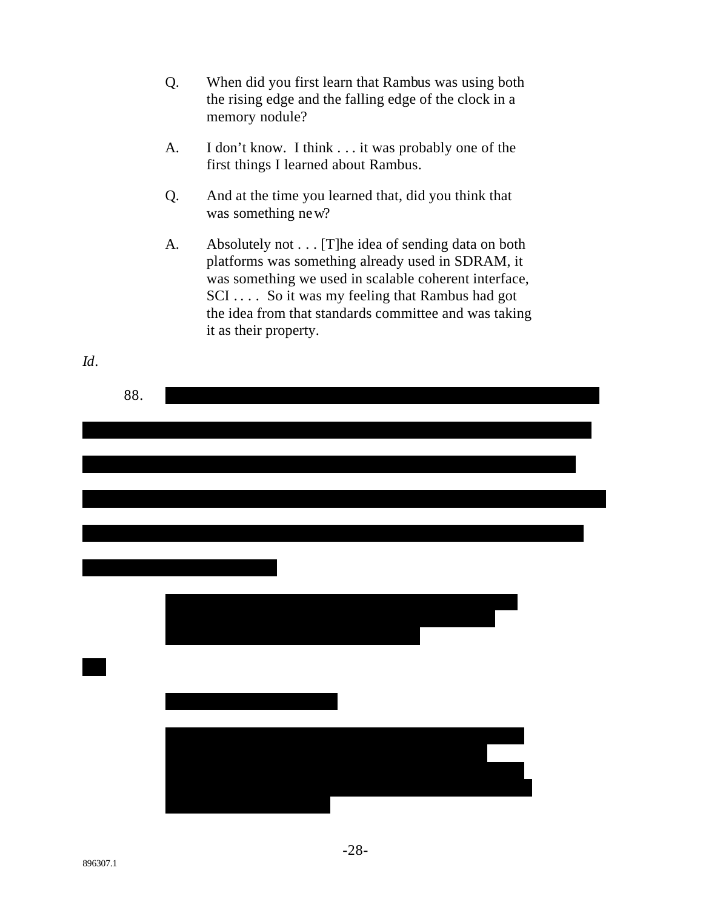- Q. When did you first learn that Rambus was using both the rising edge and the falling edge of the clock in a memory nodule?
- $A<sub>1</sub>$ I don't know. I think . . . it was probably one of the first things I learned about Rambus.
- And at the time you learned that, did you think that Q. was something new?
- Absolutely not . . . [T] he idea of sending data on both A. platforms was something already used in SDRAM, it was something we used in scalable coherent interface, SCI.... So it was my feeling that Rambus had got the idea from that standards committee and was taking it as their property.

| 88. |  |  |
|-----|--|--|
|     |  |  |
|     |  |  |
|     |  |  |
|     |  |  |
|     |  |  |
|     |  |  |
|     |  |  |
|     |  |  |
|     |  |  |

 $Id.$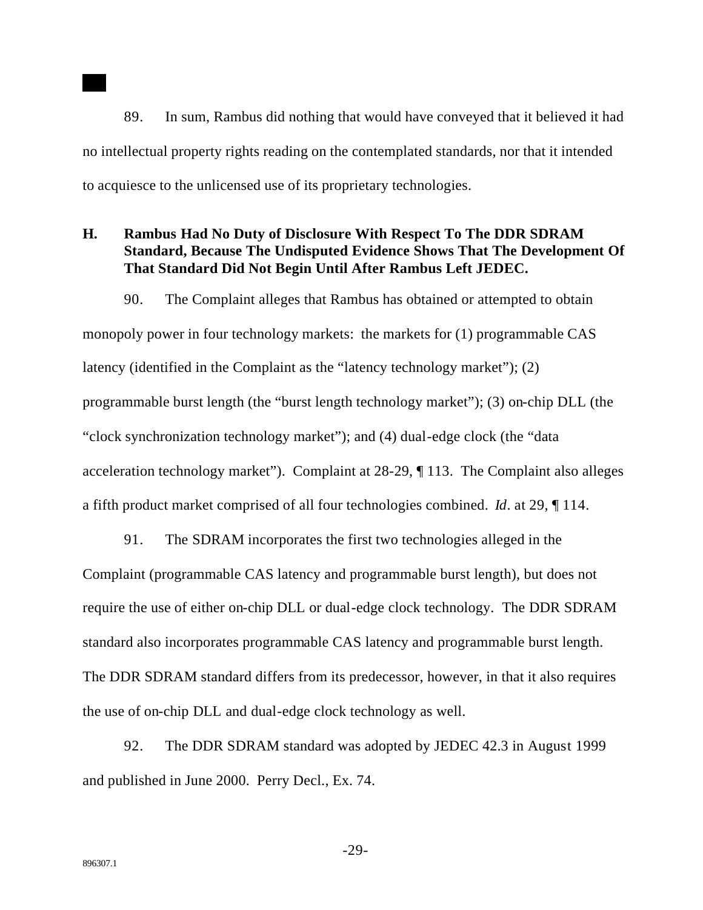89. In sum, Rambus did nothing that would have conveyed that it believed it had no intellectual property rights reading on the contemplated standards, nor that it intended to acquiesce to the unlicensed use of its proprietary technologies.

#### **H. Rambus Had No Duty of Disclosure With Respect To The DDR SDRAM Standard, Because The Undisputed Evidence Shows That The Development Of That Standard Did Not Begin Until After Rambus Left JEDEC.**

90. The Complaint alleges that Rambus has obtained or attempted to obtain monopoly power in four technology markets: the markets for (1) programmable CAS latency (identified in the Complaint as the "latency technology market"); (2) programmable burst length (the "burst length technology market"); (3) on-chip DLL (the "clock synchronization technology market"); and (4) dual-edge clock (the "data acceleration technology market"). Complaint at 28-29, ¶ 113. The Complaint also alleges a fifth product market comprised of all four technologies combined. *Id*. at 29, ¶ 114.

91. The SDRAM incorporates the first two technologies alleged in the Complaint (programmable CAS latency and programmable burst length), but does not require the use of either on-chip DLL or dual-edge clock technology. The DDR SDRAM standard also incorporates programmable CAS latency and programmable burst length. The DDR SDRAM standard differs from its predecessor, however, in that it also requires the use of on-chip DLL and dual-edge clock technology as well.

92. The DDR SDRAM standard was adopted by JEDEC 42.3 in August 1999 and published in June 2000. Perry Decl., Ex. 74.

-29-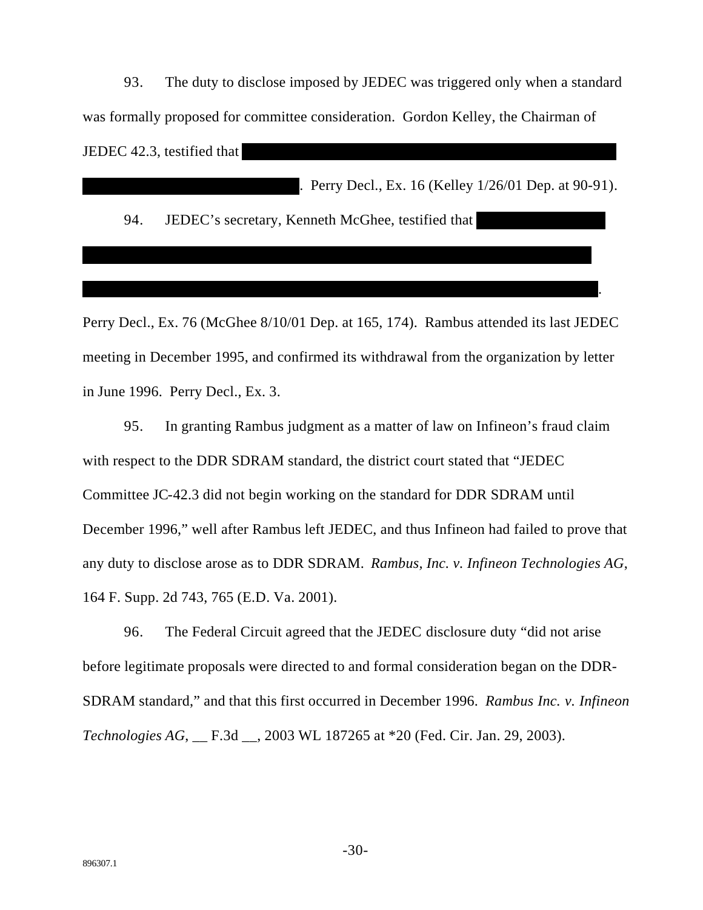93. The duty to disclose imposed by JEDEC was triggered only when a standard was formally proposed for committee consideration. Gordon Kelley, the Chairman of JEDEC 42.3, testified that

. Perry Decl., Ex. 16 (Kelley 1/26/01 Dep. at 90-91).

94. JEDEC's secretary, Kenneth McGhee, testified that

Perry Decl., Ex. 76 (McGhee 8/10/01 Dep. at 165, 174). Rambus attended its last JEDEC meeting in December 1995, and confirmed its withdrawal from the organization by letter in June 1996. Perry Decl., Ex. 3.

95. In granting Rambus judgment as a matter of law on Infineon's fraud claim with respect to the DDR SDRAM standard, the district court stated that "JEDEC" Committee JC-42.3 did not begin working on the standard for DDR SDRAM until December 1996," well after Rambus left JEDEC, and thus Infineon had failed to prove that any duty to disclose arose as to DDR SDRAM. Rambus, Inc. v. Infineon Technologies AG, 164 F. Supp. 2d 743, 765 (E.D. Va. 2001).

96. The Federal Circuit agreed that the JEDEC disclosure duty "did not arise" before legitimate proposals were directed to and formal consideration began on the DDR-SDRAM standard," and that this first occurred in December 1996. Rambus Inc. v. Infineon Technologies AG, \_\_ F.3d \_\_, 2003 WL 187265 at \*20 (Fed. Cir. Jan. 29, 2003).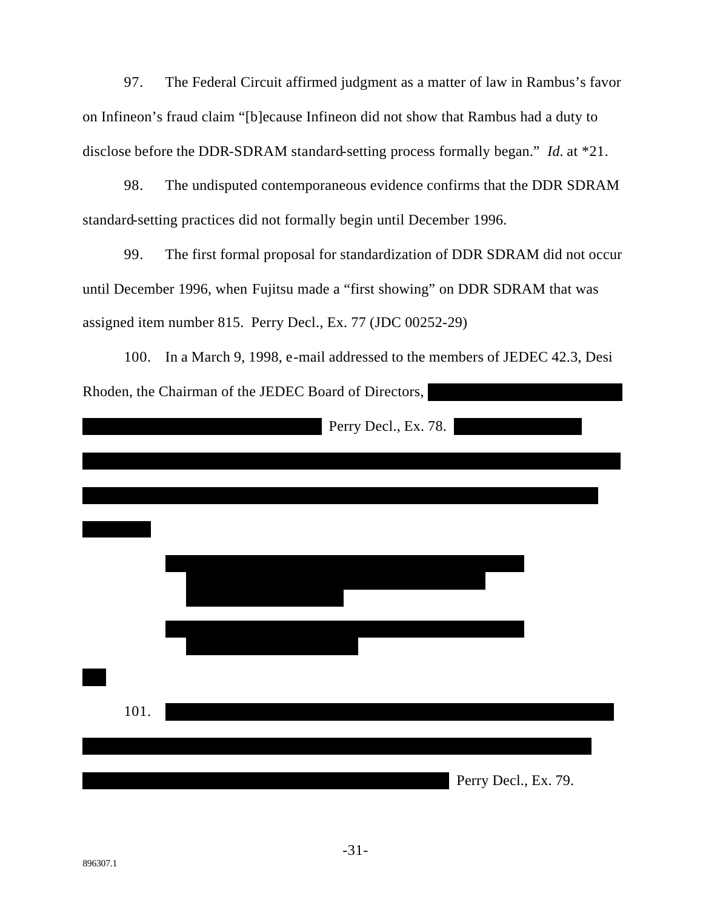The Federal Circuit affirmed judgment as a matter of law in Rambus's favor 97. on Infineon's fraud claim "[b]ecause Infineon did not show that Rambus had a duty to disclose before the DDR-SDRAM standard-setting process formally began." *Id.* at \*21.

98. The undisputed contemporaneous evidence confirms that the DDR SDRAM standard-setting practices did not formally begin until December 1996.

The first formal proposal for standardization of DDR SDRAM did not occur 99. until December 1996, when Fujitsu made a "first showing" on DDR SDRAM that was assigned item number 815. Perry Decl., Ex. 77 (JDC 00252-29)

100. In a March 9, 1998, e-mail addressed to the members of JEDEC 42.3, Desi Rhoden, the Chairman of the JEDEC Board of Directors,

|      | Perry Decl., Ex. 78. |  |
|------|----------------------|--|
|      |                      |  |
|      |                      |  |
|      |                      |  |
|      |                      |  |
|      |                      |  |
|      |                      |  |
|      |                      |  |
|      |                      |  |
|      |                      |  |
|      |                      |  |
| 101. |                      |  |
|      |                      |  |
|      |                      |  |
|      | Perry Decl., Ex. 79. |  |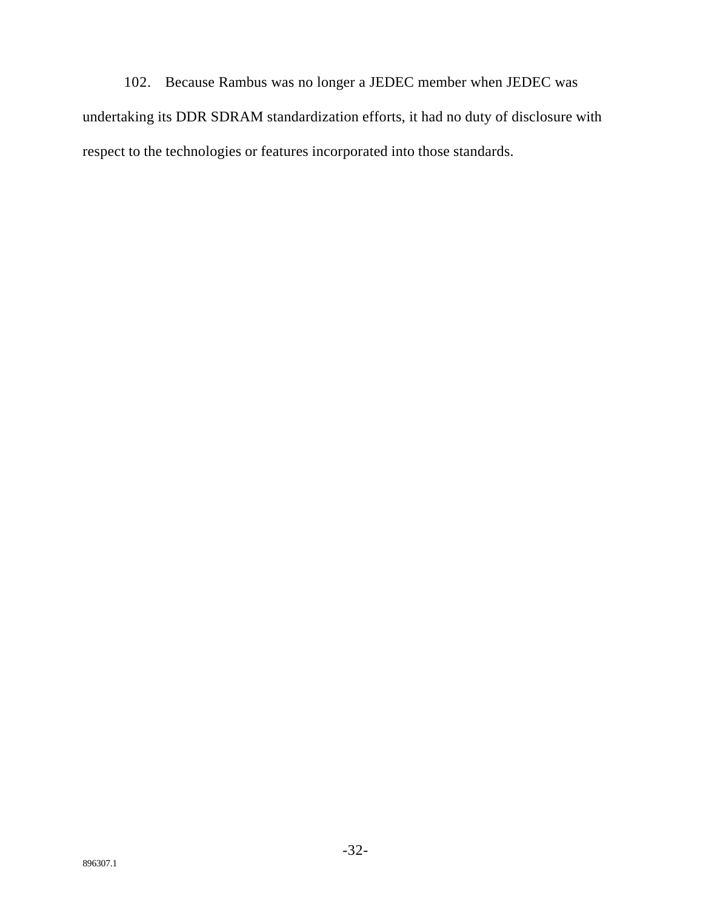102. Because Rambus was no longer a JEDEC member when JEDEC was undertaking its DDR SDRAM standardization efforts, it had no duty of disclosure with respect to the technologies or features incorporated into those standards.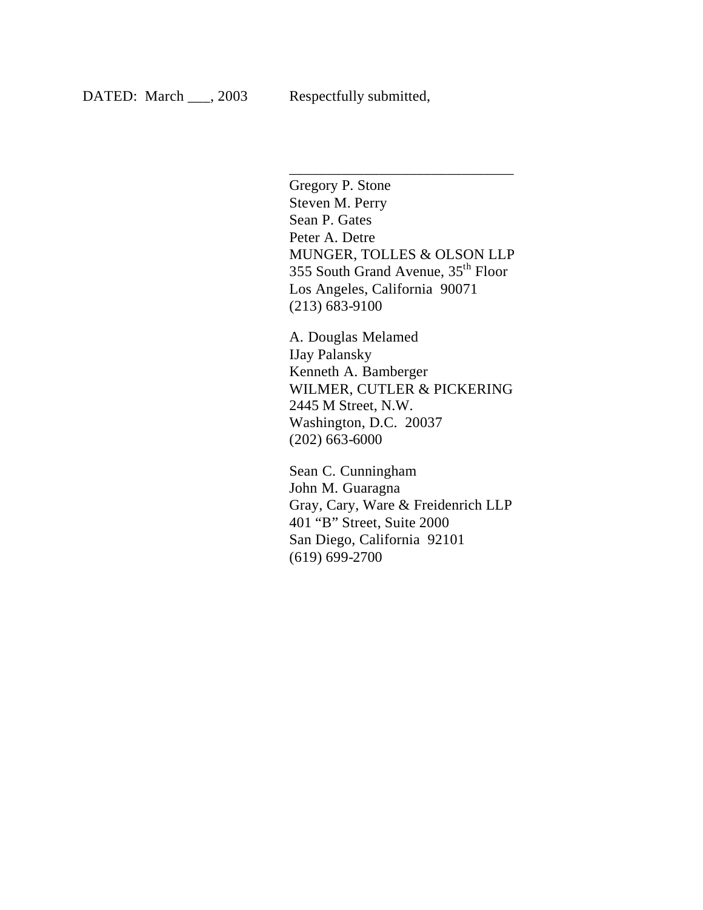Gregory P. Stone Steven M. Perry Sean P. Gates Peter A. Detre MUNGER, TOLLES & OLSON LLP 355 South Grand Avenue, 35th Floor Los Angeles, California 90071 (213) 683-9100

\_\_\_\_\_\_\_\_\_\_\_\_\_\_\_\_\_\_\_\_\_\_\_\_\_\_\_\_\_\_

A. Douglas Melamed IJay Palansky Kenneth A. Bamberger WILMER, CUTLER & PICKERING 2445 M Street, N.W. Washington, D.C. 20037 (202) 663-6000

Sean C. Cunningham John M. Guaragna Gray, Cary, Ware & Freidenrich LLP 401 "B" Street, Suite 2000 San Diego, California 92101 (619) 699-2700